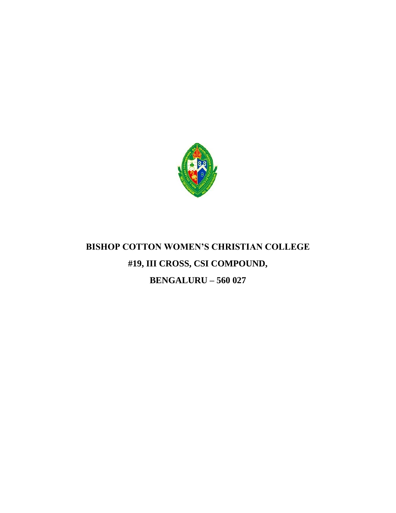

# **BISHOP COTTON WOMEN'S CHRISTIAN COLLEGE #19, III CROSS, CSI COMPOUND, BENGALURU – 560 027**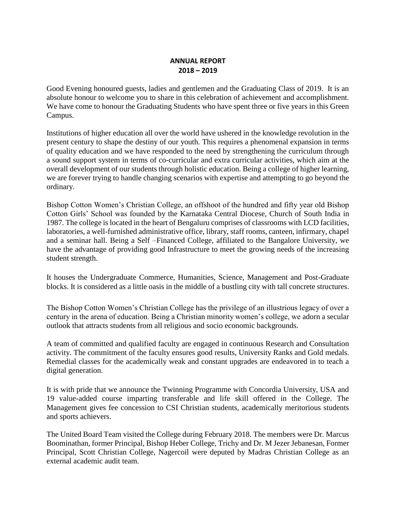### **ANNUAL REPORT 2018 – 2019**

Good Evening honoured guests, ladies and gentlemen and the Graduating Class of 2019. It is an absolute honour to welcome you to share in this celebration of achievement and accomplishment. We have come to honour the Graduating Students who have spent three or five years in this Green Campus.

Institutions of higher education all over the world have ushered in the knowledge revolution in the present century to shape the destiny of our youth. This requires a phenomenal expansion in terms of quality education and we have responded to the need by strengthening the curriculum through a sound support system in terms of co-curricular and extra curricular activities, which aim at the overall development of our students through holistic education. Being a college of higher learning, we are forever trying to handle changing scenarios with expertise and attempting to go beyond the ordinary.

Bishop Cotton Women's Christian College, an offshoot of the hundred and fifty year old Bishop Cotton Girls' School was founded by the Karnataka Central Diocese, Church of South India in 1987. The college is located in the heart of Bengaluru comprises of classrooms with LCD facilities, laboratories, a well-furnished administrative office, library, staff rooms, canteen, infirmary, chapel and a seminar hall. Being a Self –Financed College, affiliated to the Bangalore University, we have the advantage of providing good Infrastructure to meet the growing needs of the increasing student strength.

It houses the Undergraduate Commerce, Humanities, Science, Management and Post-Graduate blocks. It is considered as a little oasis in the middle of a bustling city with tall concrete structures.

The Bishop Cotton Women's Christian College has the privilege of an illustrious legacy of over a century in the arena of education. Being a Christian minority women's college, we adorn a secular outlook that attracts students from all religious and socio economic backgrounds.

A team of committed and qualified faculty are engaged in continuous Research and Consultation activity. The commitment of the faculty ensures good results, University Ranks and Gold medals. Remedial classes for the academically weak and constant upgrades are endeavored in to teach a digital generation.

It is with pride that we announce the Twinning Programme with Concordia University, USA and 19 value-added course imparting transferable and life skill offered in the College. The Management gives fee concession to CSI Christian students, academically meritorious students and sports achievers.

The United Board Team visited the College during February 2018. The members were Dr. Marcus Boominathan, former Principal, Bishop Heber College, Trichy and Dr. M Jezer Jebanesan, Former Principal, Scott Christian College, Nagercoil were deputed by Madras Christian College as an external academic audit team.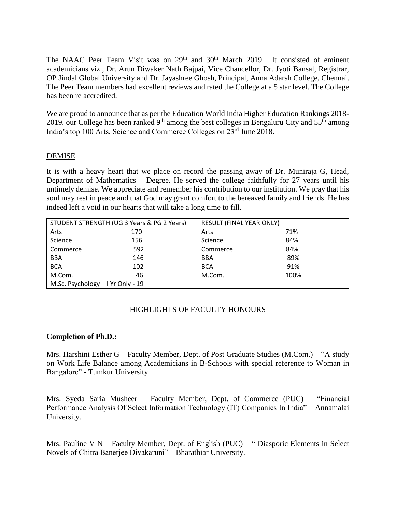The NAAC Peer Team Visit was on  $29<sup>th</sup>$  and  $30<sup>th</sup>$  March 2019. It consisted of eminent academicians viz., Dr. Arun Diwaker Nath Bajpai, Vice Chancellor, Dr. Jyoti Bansal, Registrar, OP Jindal Global University and Dr. Jayashree Ghosh, Principal, Anna Adarsh College, Chennai. The Peer Team members had excellent reviews and rated the College at a 5 star level. The College has been re accredited.

We are proud to announce that as per the Education World India Higher Education Rankings 2018- 2019, our College has been ranked  $9<sup>th</sup>$  among the best colleges in Bengaluru City and  $55<sup>th</sup>$  among India's top 100 Arts, Science and Commerce Colleges on 23rd June 2018.

### DEMISE

It is with a heavy heart that we place on record the passing away of Dr. Muniraja G, Head, Department of Mathematics – Degree. He served the college faithfully for 27 years until his untimely demise. We appreciate and remember his contribution to our institution. We pray that his soul may rest in peace and that God may grant comfort to the bereaved family and friends. He has indeed left a void in our hearts that will take a long time to fill.

| STUDENT STRENGTH (UG 3 Years & PG 2 Years) |     | RESULT (FINAL YEAR ONLY) |      |
|--------------------------------------------|-----|--------------------------|------|
| Arts                                       | 170 | Arts                     | 71%  |
| Science                                    | 156 | Science                  | 84%  |
| Commerce                                   | 592 | Commerce                 | 84%  |
| <b>BBA</b>                                 | 146 | <b>BBA</b>               | 89%  |
| <b>BCA</b>                                 | 102 | <b>BCA</b>               | 91%  |
| M.Com.                                     | 46  | M.Com.                   | 100% |
| M.Sc. Psychology - I Yr Only - 19          |     |                          |      |

### HIGHLIGHTS OF FACULTY HONOURS

#### **Completion of Ph.D.:**

Mrs. Harshini Esther G – Faculty Member, Dept. of Post Graduate Studies (M.Com.) – "A study on Work Life Balance among Academicians in B-Schools with special reference to Woman in Bangalore" - Tumkur University

Mrs. Syeda Saria Musheer – Faculty Member, Dept. of Commerce (PUC) – "Financial Performance Analysis Of Select Information Technology (IT) Companies In India" – Annamalai University.

Mrs. Pauline V N – Faculty Member, Dept. of English (PUC) – " Diasporic Elements in Select Novels of Chitra Banerjee Divakaruni" – Bharathiar University.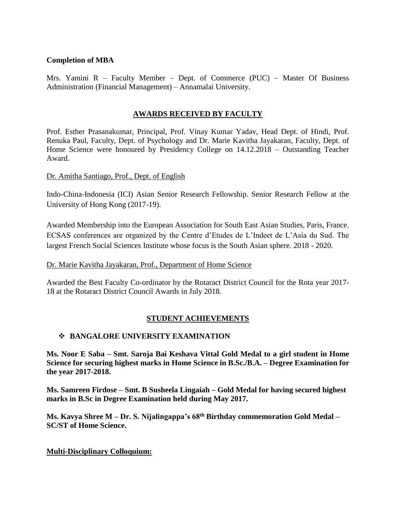### **Completion of MBA**

Mrs. Yamini  $R$  – Faculty Member – Dept. of Commerce (PUC) – Master Of Business Administration (Financial Management) – Annamalai University.

### **AWARDS RECEIVED BY FACULTY**

Prof. Esther Prasanakumar, Principal, Prof. Vinay Kumar Yadav, Head Dept. of Hindi, Prof. Renuka Paul, Faculty, Dept. of Psychology and Dr. Marie Kavitha Jayakaran, Faculty, Dept. of Home Science were honoured by Presidency College on 14.12.2018 – Outstanding Teacher Award.

### Dr. Amitha Santiago, Prof., Dept. of English

Indo-China-Indonesia (ICI) Asian Senior Research Fellowship. Senior Research Fellow at the University of Hong Kong (2017-19).

Awarded Membership into the European Association for South East Asian Studies, Paris, France. ECSAS conferences are organized by the Centre d'Etudes de L'Indeet de L'Asia du Sud. The largest French Social Sciences Institute whose focus is the South Asian sphere. 2018 - 2020.

#### Dr. Marie Kavitha Jayakaran, Prof., Department of Home Science

Awarded the Best Faculty Co-ordinator by the Rotaract District Council for the Rota year 2017- 18 at the Rotaract District Council Awards in July 2018.

### **STUDENT ACHIEVEMENTS**

#### **BANGALORE UNIVERSITY EXAMINATION**

**Ms. Noor E Saba – Smt. Saroja Bai Keshava Vittal Gold Medal to a girl student in Home Science for securing highest marks in Home Science in B.Sc./B.A. – Degree Examination for the year 2017-2018.**

**Ms. Samreen Firdose – Smt. B Susheela Lingaiah – Gold Medal for having secured highest marks in B.Sc in Degree Examination held during May 2017.**

**Ms. Kavya Shree M – Dr. S. Nijalingappa's 68th Birthday commemoration Gold Medal – SC/ST of Home Science.**

#### **Multi-Disciplinary Colloquium:**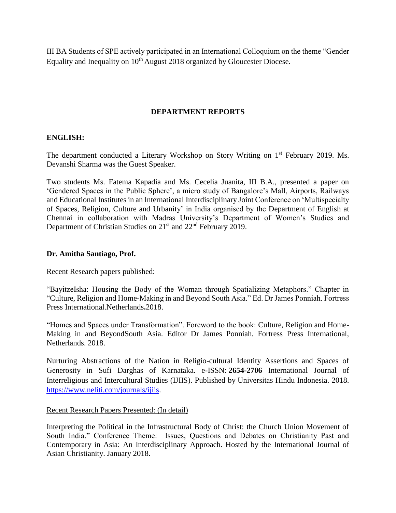III BA Students of SPE actively participated in an International Colloquium on the theme "Gender Equality and Inequality on 10<sup>th</sup> August 2018 organized by Gloucester Diocese.

### **DEPARTMENT REPORTS**

#### **ENGLISH:**

The department conducted a Literary Workshop on Story Writing on 1<sup>st</sup> February 2019. Ms. Devanshi Sharma was the Guest Speaker.

Two students Ms. Fatema Kapadia and Ms. Cecelia Juanita, III B.A., presented a paper on 'Gendered Spaces in the Public Sphere', a micro study of Bangalore's Mall, Airports, Railways and Educational Institutes in an International Interdisciplinary Joint Conference on 'Multispecialty of Spaces, Religion, Culture and Urbanity' in India organised by the Department of English at Chennai in collaboration with Madras University's Department of Women's Studies and Department of Christian Studies on 21<sup>st</sup> and 22<sup>nd</sup> February 2019.

#### **Dr. Amitha Santiago, Prof.**

#### Recent Research papers published:

"BayitzeIsha: Housing the Body of the Woman through Spatializing Metaphors." Chapter in "Culture, Religion and Home-Making in and Beyond South Asia." Ed. Dr James Ponniah. Fortress Press International.Netherlands**.**2018.

"Homes and Spaces under Transformation". Foreword to the book: Culture, Religion and Home-Making in and BeyondSouth Asia. Editor Dr James Ponniah. Fortress Press International, Netherlands. 2018.

Nurturing Abstractions of the Nation in Religio-cultural Identity Assertions and Spaces of Generosity in Sufi Darghas of Karnataka. e-ISSN: **2654-2706** International Journal of Interreligious and Intercultural Studies (IJIIS). Published by [Universitas Hindu Indonesia.](https://www.neliti.com/universitas-hindu-indonesia) 2018. [https://www.neliti.com/journals/ijiis.](https://www.neliti.com/journals/ijiis)

#### Recent Research Papers Presented: (In detail)

Interpreting the Political in the Infrastructural Body of Christ: the Church Union Movement of South India." Conference Theme: Issues, Questions and Debates on Christianity Past and Contemporary in Asia: An Interdisciplinary Approach. Hosted by the International Journal of Asian Christianity. January 2018.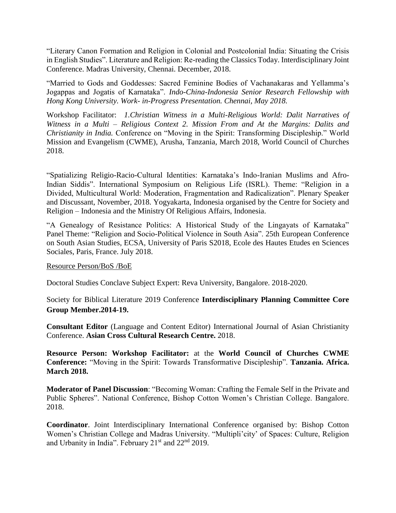"Literary Canon Formation and Religion in Colonial and Postcolonial India: Situating the Crisis in English Studies". Literature and Religion: Re-reading the Classics Today. Interdisciplinary Joint Conference. Madras University, Chennai. December, 2018.

"Married to Gods and Goddesses: Sacred Feminine Bodies of Vachanakaras and Yellamma's Jogappas and Jogatis of Karnataka". *Indo-China-Indonesia Senior Research Fellowship with Hong Kong University. Work- in-Progress Presentation. Chennai, May 2018.*

Workshop Facilitator: *1.Christian Witness in a Multi-Religious World: Dalit Narratives of Witness in a Multi – Religious Context 2. Mission From and At the Margins: Dalits and Christianity in India.* Conference on "Moving in the Spirit: Transforming Discipleship." World Mission and Evangelism (CWME), Arusha, Tanzania, March 2018, World Council of Churches 2018.

"Spatializing Religio-Racio-Cultural Identities: Karnataka's Indo-Iranian Muslims and Afro-Indian Siddis". International Symposium on Religious Life (ISRL). Theme: "Religion in a Divided, Multicultural World: Moderation, Fragmentation and Radicalization". Plenary Speaker and Discussant, November, 2018. Yogyakarta, Indonesia organised by the Centre for Society and Religion – Indonesia and the Ministry Of Religious Affairs, Indonesia.

"A Genealogy of Resistance Politics: A Historical Study of the Lingayats of Karnataka" Panel Theme: "Religion and Socio-Political Violence in South Asia". 25th European Conference on South Asian Studies, ECSA, University of Paris S2018, Ecole des Hautes Etudes en Sciences Sociales, Paris, France. July 2018.

Resource Person/BoS /BoE

Doctoral Studies Conclave Subject Expert: Reva University, Bangalore. 2018-2020.

Society for Biblical Literature 2019 Conference **Interdisciplinary Planning Committee Core Group Member.2014-19.**

**Consultant Editor** (Language and Content Editor) International Journal of Asian Christianity Conference. **Asian Cross Cultural Research Centre.** 2018.

**Resource Person: Workshop Facilitator:** at the **World Council of Churches CWME Conference:** "Moving in the Spirit: Towards Transformative Discipleship". **Tanzania. Africa. March 2018.**

**Moderator of Panel Discussion**: "Becoming Woman: Crafting the Female Self in the Private and Public Spheres". National Conference, Bishop Cotton Women's Christian College. Bangalore. 2018.

**Coordinator**. Joint Interdisciplinary International Conference organised by: Bishop Cotton Women's Christian College and Madras University. "Multipli'city' of Spaces: Culture, Religion and Urbanity in India". February 21<sup>st</sup> and 22<sup>nd</sup> 2019.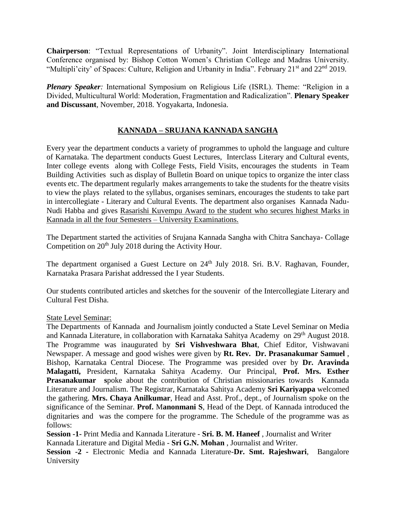**Chairperson**: "Textual Representations of Urbanity". Joint Interdisciplinary International Conference organised by: Bishop Cotton Women's Christian College and Madras University. "Multipli'city' of Spaces: Culture, Religion and Urbanity in India". February 21<sup>st</sup> and 22<sup>nd</sup> 2019.

*Plenary Speaker:* International Symposium on Religious Life (ISRL). Theme: "Religion in a Divided, Multicultural World: Moderation, Fragmentation and Radicalization". **Plenary Speaker and Discussant**, November, 2018. Yogyakarta, Indonesia.

### **KANNADA – SRUJANA KANNADA SANGHA**

Every year the department conducts a variety of programmes to uphold the language and culture of Karnataka. The department conducts Guest Lectures, Interclass Literary and Cultural events, Inter college events along with College Fests, Field Visits, encourages the students in Team Building Activities such as display of Bulletin Board on unique topics to organize the inter class events etc. The department regularly makes arrangements to take the students for the theatre visits to view the plays related to the syllabus, organises seminars, encourages the students to take part in intercollegiate - Literary and Cultural Events. The department also organises Kannada Nadu-Nudi Habba and gives Rasarishi Kuvempu Award to the student who secures highest Marks in Kannada in all the four Semesters – University Examinations.

The Department started the activities of Srujana Kannada Sangha with Chitra Sanchaya- Collage Competition on  $20<sup>th</sup>$  July 2018 during the Activity Hour.

The department organised a Guest Lecture on 24<sup>th</sup> July 2018. Sri. B.V. Raghavan, Founder, Karnataka Prasara Parishat addressed the I year Students.

Our students contributed articles and sketches for the souvenir of the Intercollegiate Literary and Cultural Fest Disha.

#### State Level Seminar:

The Departments of Kannada and Journalism jointly conducted a State Level Seminar on Media and Kannada Literature, in collaboration with Karnataka Sahitya Academy on 29<sup>th</sup> August 2018. The Programme was inaugurated by **Sri Vishveshwara Bhat**, Chief Editor, Vishwavani Newspaper. A message and good wishes were given by **Rt. Rev. Dr. Prasanakumar Samuel** , Bishop, Karnataka Central Diocese. The Programme was presided over by **Dr. Aravinda Malagatti,** President, Karnataka Sahitya Academy. Our Principal, **Prof. Mrs. Esther Prasanakumar s**poke about the contribution of Christian missionaries towards Kannada Literature and Journalism. The Registrar, Karnataka Sahitya Academy **Sri Kariyappa** welcomed the gathering. **Mrs. Chaya Anilkumar**, Head and Asst. Prof., dept., of Journalism spoke on the significance of the Seminar. **Prof.** M**anonmani S**, Head of the Dept. of Kannada introduced the dignitaries and was the compere for the programme. The Schedule of the programme was as follows:

**Session -1-** Print Media and Kannada Literature - **Sri. B. M. Haneef** , Journalist and Writer Kannada Literature and Digital Media - **Sri G.N. Mohan** , Journalist and Writer.

**Session -2 -** Electronic Media and Kannada Literature-**Dr. Smt. Rajeshwari**, Bangalore University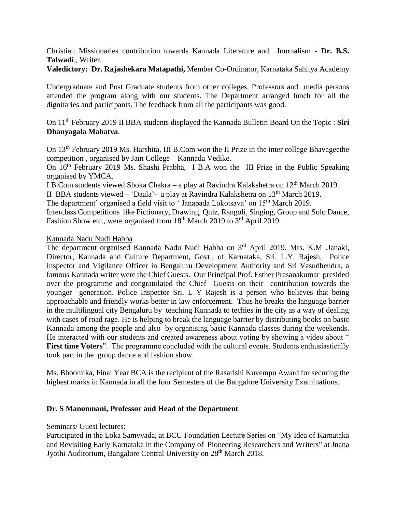Christian Missionaries contribution towards Kannada Literature and Journalism - **Dr. B.S. Talwadi** , Writer.

**Valedictory: Dr. Rajashekara Matapathi,** Member Co-Ordinator, Karnataka Sahitya Academy

Undergraduate and Post Graduate students from other colleges, Professors and media persons attended the program along with our students. The Department arranged lunch for all the dignitaries and participants. The feedback from all the participants was good.

On 11th February 2019 II BBA students displayed the Kannada Bulletin Board On the Topic : **Siri Dhanyagala Mahatva**.

On 13th February 2019 Ms. Harshita, III B.Com won the II Prize in the inter college Bhavageethe competition , organised by Jain College – Kannada Vedike.

On 16<sup>th</sup> February 2019 Ms. Shashi Prabha, I B.A won the III Prize in the Public Speaking organised by YMCA.

I B.Com students viewed Shoka Chakra – a play at Ravindra Kalakshetra on 12th March 2019.

II BBA students viewed – 'Daala'- a play at Ravindra Kalakshetra on 13th March 2019.

The department' organised a field visit to 'Janapada Lokotsava' on 15<sup>th</sup> March 2019.

Interclass Competitions like Pictionary, Drawing, Quiz, Rangoli, Singing, Group and Solo Dance, Fashion Show etc., were organised from 18<sup>th</sup> March 2019 to 3<sup>rd</sup> April 2019.

#### Kannada Nadu Nudi Habba

The department organised Kannada Nadu Nudi Habba on 3<sup>rd</sup> April 2019. Mrs. K.M .Janaki, Director, Kannada and Culture Department, Govt., of Karnataka, Sri. L.Y. Rajesh, Police Inspector and Vigilance Officer in Bengaluru Development Authority and Sri Vasudhendra, a famous Kannada writer were the Chief Guests. Our Principal Prof. Esther Prasanakumar presided over the programme and congratulated the Chief Guests on their contribution towards the younger generation. Police Inspector Sri. L Y Rajesh is a person who believes that being approachable and friendly works better in law enforcement. Thus he breaks the language barrier in the multilingual city Bengaluru by teaching Kannada to techies in the city as a way of dealing with cases of road rage. He is helping to break the language barrier by distributing books on basic Kannada among the people and also by organising basic Kannada classes during the weekends. He interacted with our students and created awareness about voting by showing a video about " **First time Voters**". The programme concluded with the cultural events. Students enthusiastically took part in the group dance and fashion show.

Ms. Bhoomika, Final Year BCA is the recipient of the Rasarishi Kuvempu Award for securing the highest marks in Kannada in all the four Semesters of the Bangalore University Examinations.

#### **Dr. S Manonmani, Professor and Head of the Department**

#### Seminars/ Guest lectures:

Participated in the Loka Samvvada, at BCU Foundation Lecture Series on "My Idea of Karnataka and Revisiting Early Karnataka in the Company of Pioneering Researchers and Writers" at Jnana Jyothi Auditorium, Bangalore Central University on 28<sup>th</sup> March 2018.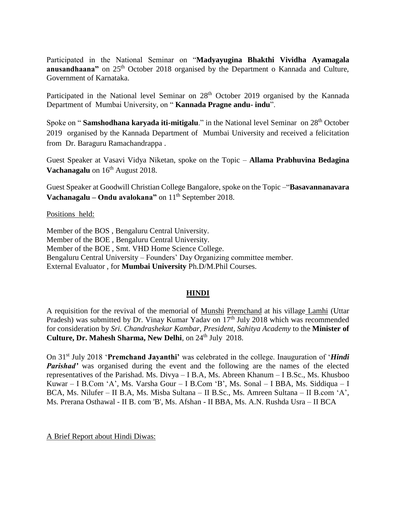Participated in the National Seminar on "**Madyayugina Bhakthi Vividha Ayamagala anusandhaana**" on 25<sup>th</sup> October 2018 organised by the Department o Kannada and Culture, Government of Karnataka.

Participated in the National level Seminar on 28<sup>th</sup> October 2019 organised by the Kannada Department of Mumbai University, on " **Kannada Pragne andu- indu**".

Spoke on "**Samshodhana karyada iti-mitigalu**." in the National level Seminar on 28<sup>th</sup> October 2019 organised by the Kannada Department of Mumbai University and received a felicitation from Dr. Baraguru Ramachandrappa .

Guest Speaker at Vasavi Vidya Niketan, spoke on the Topic – **Allama Prabhuvina Bedagina Vachanagalu** on 16<sup>th</sup> August 2018.

Guest Speaker at Goodwill Christian College Bangalore, spoke on the Topic –"**Basavannanavara Vachanagalu – Ondu avalokana**" on 11<sup>th</sup> September 2018.

Positions held:

Member of the BOS , Bengaluru Central University. Member of the BOE , Bengaluru Central University. Member of the BOE , Smt. VHD Home Science College. Bengaluru Central University – Founders' Day Organizing committee member. External Evaluator , for **Mumbai University** Ph.D/M.Phil Courses.

#### **HINDI**

A requisition for the revival of the memorial of Munshi Premchand at his village Lamhi (Uttar Pradesh) was submitted by Dr. Vinay Kumar Yadav on  $17<sup>th</sup>$  July 2018 which was recommended for consideration by *Sri. Chandrashekar Kambar, President, Sahitya Academy* to the **Minister of Culture, Dr. Mahesh Sharma, New Delhi**, on 24<sup>th</sup> July 2018.

On 31st July 2018 '**Premchand Jayanthi'** was celebrated in the college. Inauguration of '*Hindi Parishad'* was organised during the event and the following are the names of the elected representatives of the Parishad. Ms. Divya – I B.A, Ms. Abreen Khanum – I B.Sc., Ms. Khusboo Kuwar – I B.Com 'A', Ms. Varsha Gour – I B.Com 'B', Ms. Sonal – I BBA, Ms. Siddiqua – I BCA, Ms. Nilufer – II B.A, Ms. Misba Sultana – II B.Sc., Ms. Amreen Sultana – II B.com 'A', Ms. Prerana Osthawal - II B. com 'B', Ms. Afshan - II BBA, Ms. A.N. Rushda Usra – II BCA

A Brief Report about Hindi Diwas: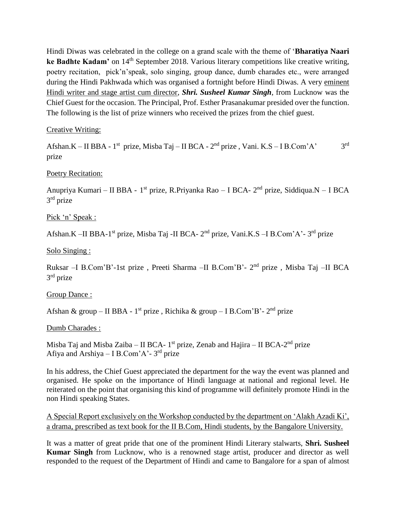Hindi Diwas was celebrated in the college on a grand scale with the theme of '**Bharatiya Naari ke Badhte Kadam'** on 14<sup>th</sup> September 2018. Various literary competitions like creative writing, poetry recitation, pick'n'speak, solo singing, group dance, dumb charades etc., were arranged during the Hindi Pakhwada which was organised a fortnight before Hindi Diwas. A very eminent Hindi writer and stage artist cum director, *Shri. Susheel Kumar Singh*, from Lucknow was the Chief Guest for the occasion. The Principal, Prof. Esther Prasanakumar presided over the function. The following is the list of prize winners who received the prizes from the chief guest.

Creative Writing:

Afshan.K – II BBA - 1<sup>st</sup> prize, Misba Taj – II BCA - 2<sup>nd</sup> prize, Vani. K.S – I B.Com'A' 3 3rd prize

Poetry Recitation:

Anupriya Kumari – II BBA - 1<sup>st</sup> prize, R.Priyanka Rao – I BCA- 2<sup>nd</sup> prize, Siddiqua.N – I BCA 3<sup>rd</sup> prize

Pick 'n' Speak :

Afshan.K –II BBA-1<sup>st</sup> prize, Misba Taj -II BCA- 2<sup>nd</sup> prize, Vani.K.S –I B.Com'A'-3<sup>rd</sup> prize

Solo Singing :

Ruksar -I B.Com'B'-1st prize, Preeti Sharma -II B.Com'B'- 2<sup>nd</sup> prize, Misba Taj -II BCA 3<sup>rd</sup> prize

Group Dance :

Afshan & group – II BBA - 1<sup>st</sup> prize, Richika & group – I B.Com'B'- 2<sup>nd</sup> prize

Dumb Charades :

Misba Taj and Misba Zaiba – II BCA- 1<sup>st</sup> prize, Zenab and Hajira – II BCA-2<sup>nd</sup> prize Afiya and Arshiya – I B.Com'A'-3<sup>rd</sup> prize

In his address, the Chief Guest appreciated the department for the way the event was planned and organised. He spoke on the importance of Hindi language at national and regional level. He reiterated on the point that organising this kind of programme will definitely promote Hindi in the non Hindi speaking States.

A Special Report exclusively on the Workshop conducted by the department on 'Alakh Azadi Ki', a drama, prescribed as text book for the II B.Com, Hindi students, by the Bangalore University.

It was a matter of great pride that one of the prominent Hindi Literary stalwarts, **Shri. Susheel Kumar Singh** from Lucknow, who is a renowned stage artist, producer and director as well responded to the request of the Department of Hindi and came to Bangalore for a span of almost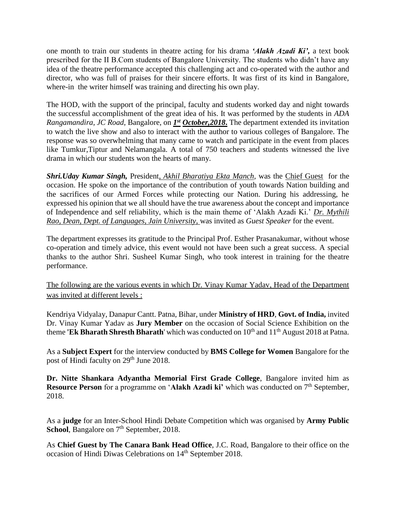one month to train our students in theatre acting for his drama *'Alakh Azadi Ki',* a text book prescribed for the II B.Com students of Bangalore University. The students who didn't have any idea of the theatre performance accepted this challenging act and co-operated with the author and director, who was full of praises for their sincere efforts. It was first of its kind in Bangalore, where-in the writer himself was training and directing his own play.

The HOD, with the support of the principal, faculty and students worked day and night towards the successful accomplishment of the great idea of his. It was performed by the students in *ADA*  Rangamandira, JC Road, Bangalore, on *1<sup>st</sup>* October, 2018. The department extended its invitation to watch the live show and also to interact with the author to various colleges of Bangalore. The response was so overwhelming that many came to watch and participate in the event from places like Tumkur,Tiptur and Nelamangala. A total of 750 teachers and students witnessed the live drama in which our students won the hearts of many.

*Shri.Uday Kumar Singh,* President*, Akhil Bharatiya Ekta Manch*, was the Chief Guest for the occasion. He spoke on the importance of the contribution of youth towards Nation building and the sacrifices of our Armed Forces while protecting our Nation. During his addressing, he expressed his opinion that we all should have the true awareness about the concept and importance of Independence and self reliability, which is the main theme of 'Alakh Azadi Ki.' *Dr. Mythili Rao, Dean, Dept. of Languages, Jain University,* was invited as *Guest Speaker* for the event.

The department expresses its gratitude to the Principal Prof. Esther Prasanakumar, without whose co-operation and timely advice, this event would not have been such a great success. A special thanks to the author Shri. Susheel Kumar Singh, who took interest in training for the theatre performance.

The following are the various events in which Dr. Vinay Kumar Yadav, Head of the Department was invited at different levels :

Kendriya Vidyalay, Danapur Cantt. Patna, Bihar, under **Ministry of HRD**, **Govt. of India,** invited Dr. Vinay Kumar Yadav as **Jury Member** on the occasion of Social Science Exhibition on the theme **'Ek Bharath Shresth Bharath'** which was conducted on 10<sup>th</sup> and 11<sup>th</sup> August 2018 at Patna.

As a **Subject Expert** for the interview conducted by **BMS College for Women** Bangalore for the post of Hindi faculty on 29<sup>th</sup> June 2018.

**Dr. Nitte Shankara Adyantha Memorial First Grade College**, Bangalore invited him as **Resource Person** for a programme on '**Alakh Azadi ki'** which was conducted on 7<sup>th</sup> September, 2018.

As a **judge** for an Inter-School Hindi Debate Competition which was organised by **Army Public School**, Bangalore on 7<sup>th</sup> September, 2018.

As **Chief Guest by The Canara Bank Head Office**, J.C. Road, Bangalore to their office on the occasion of Hindi Diwas Celebrations on 14th September 2018.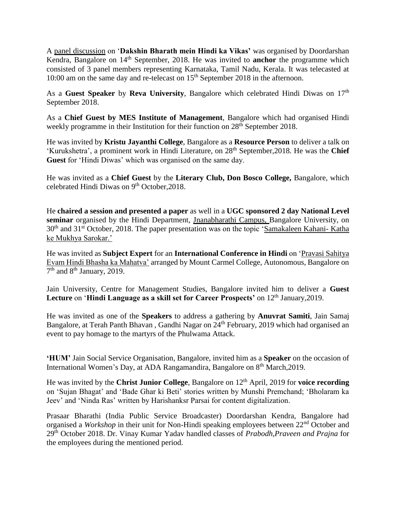A panel discussion on '**Dakshin Bharath mein Hindi ka Vikas'** was organised by Doordarshan Kendra, Bangalore on 14<sup>th</sup> September, 2018. He was invited to **anchor** the programme which consisted of 3 panel members representing Karnataka, Tamil Nadu, Kerala. It was telecasted at 10:00 am on the same day and re-telecast on  $15<sup>th</sup>$  September 2018 in the afternoon.

As a **Guest Speaker** by **Reva University**, Bangalore which celebrated Hindi Diwas on 17<sup>th</sup> September 2018.

As a **Chief Guest by MES Institute of Management**, Bangalore which had organised Hindi weekly programme in their Institution for their function on 28<sup>th</sup> September 2018.

He was invited by **Kristu Jayanthi College**, Bangalore as a **Resource Person** to deliver a talk on 'Kurukshetra', a prominent work in Hindi Literature, on 28th September,2018. He was the **Chief Guest** for 'Hindi Diwas' which was organised on the same day.

He was invited as a **Chief Guest** by the **Literary Club, Don Bosco College,** Bangalore, which celebrated Hindi Diwas on 9<sup>th</sup> October, 2018.

He **chaired a session and presented a paper** as well in a **UGC sponsored 2 day National Level seminar** organised by the Hindi Department, Jnanabharathi Campus, Bangalore University, on 30<sup>th</sup> and 31<sup>st</sup> October, 2018. The paper presentation was on the topic 'Samakaleen Kahani- Katha ke Mukhya Sarokar.'

He was invited as **Subject Expert** for an **International Conference in Hindi** on 'Pravasi Sahitya Evam Hindi Bhasha ka Mahatva' arranged by Mount Carmel College, Autonomous, Bangalore on 7<sup>th</sup> and 8<sup>th</sup> January, 2019.

Jain University, Centre for Management Studies, Bangalore invited him to deliver a **Guest**  Lecture on 'Hindi Language as a skill set for Career Prospects' on 12<sup>th</sup> January, 2019.

He was invited as one of the **Speakers** to address a gathering by **Anuvrat Samiti**, Jain Samaj Bangalore, at Terah Panth Bhavan, Gandhi Nagar on 24<sup>th</sup> February, 2019 which had organised an event to pay homage to the martyrs of the Phulwama Attack.

**'HUM'** Jain Social Service Organisation, Bangalore, invited him as a **Speaker** on the occasion of International Women's Day, at ADA Rangamandira, Bangalore on 8<sup>th</sup> March, 2019.

He was invited by the **Christ Junior College**, Bangalore on 12<sup>th</sup> April, 2019 for **voice recording** on 'Sujan Bhagat' and 'Bade Ghar ki Beti' stories written by Munshi Premchand; 'Bholaram ka Jeev' and 'Ninda Ras' written by Harishanksr Parsai for content digitalization.

Prasaar Bharathi (India Public Service Broadcaster) Doordarshan Kendra, Bangalore had organised a *Workshop* in their unit for Non-Hindi speaking employees between 22nd October and 29th October 2018. Dr. Vinay Kumar Yadav handled classes of *Prabodh,Praveen and Prajna* for the employees during the mentioned period.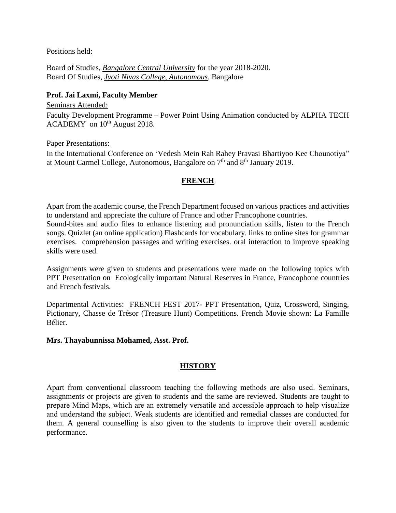#### Positions held:

Board of Studies, *Bangalore Central University* for the year 2018-2020. Board Of Studies, *Jyoti Nivas College, Autonomous*, Bangalore

### **Prof. Jai Laxmi, Faculty Member**

Seminars Attended: Faculty Development Programme – Power Point Using Animation conducted by ALPHA TECH  $\text{ACADEMY}$  on  $10^{\text{th}}$  August 2018.

Paper Presentations:

In the International Conference on 'Vedesh Mein Rah Rahey Pravasi Bhartiyoo Kee Chounotiya" at Mount Carmel College, Autonomous, Bangalore on 7<sup>th</sup> and 8<sup>th</sup> January 2019.

### **FRENCH**

Apart from the academic course, the French Department focused on various practices and activities to understand and appreciate the culture of France and other Francophone countries. Sound-bites and audio files to enhance listening and pronunciation skills, listen to the French songs. Quizlet (an online application) Flashcards for vocabulary. links to online sites for grammar exercises. comprehension passages and writing exercises. oral interaction to improve speaking skills were used.

Assignments were given to students and presentations were made on the following topics with PPT Presentation on Ecologically important Natural Reserves in France, Francophone countries and French festivals.

Departmental Activities: FRENCH FEST 2017- PPT Presentation, Quiz, Crossword, Singing, Pictionary, Chasse de Trésor (Treasure Hunt) Competitions. French Movie shown: La Famille Bélier.

#### **Mrs. Thayabunnissa Mohamed, Asst. Prof.**

### **HISTORY**

Apart from conventional classroom teaching the following methods are also used. Seminars, assignments or projects are given to students and the same are reviewed. Students are taught to prepare Mind Maps, which are an extremely versatile and accessible approach to help visualize and understand the subject. Weak students are identified and remedial classes are conducted for them. A general counselling is also given to the students to improve their overall academic performance.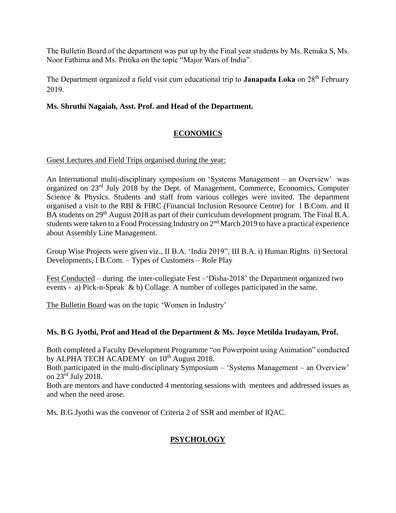The Bulletin Board of the department was put up by the Final year students by Ms. Renuka S, Ms. Noor Fathima and Ms. Pritika on the topic "Major Wars of India".

The Department organized a field visit cum educational trip to **Janapada Loka** on 28<sup>th</sup> February 2019.

### **Ms. Shruthi Nagaiah, Asst. Prof. and Head of the Department.**

### **ECONOMICS**

### Guest Lectures and Field Trips organised during the year:

An International multi-disciplinary symposium on 'Systems Management – an Overview' was organized on 23rd July 2018 by the Dept. of Management, Commerce, Economics, Computer Science & Physics. Students and staff from various colleges were invited. The department organised a visit to the RBI & FIRC (Financial Inclusion Resource Centre) for I B.Com. and II BA students on 29<sup>th</sup> August 2018 as part of their curriculum development program. The Final B.A. students were taken to a Food Processing Industry on  $2<sup>nd</sup>$  March 2019 to have a practical experience about Assembly Line Management.

Group Wise Projects were given viz., II B.A. 'India 2019", III B.A. i) Human Rights ii) Sectoral Developments, I B.Com. – Types of Customers – Role Play

Fest Conducted – during the inter-collegiate Fest –'Disha-2018' the Department organized two events - a) Pick-n-Speak & b) Collage. A number of colleges participated in the same.

The Bulletin Board was on the topic 'Women in Industry'

### **Ms. B G Jyothi, Prof and Head of the Department & Ms. Joyce Metilda Irudayam, Prof.**

Both completed a Faculty Development Programme "on Powerpoint using Animation" conducted by ALPHA TECH ACADEMY on 10<sup>th</sup> August 2018.

Both participated in the multi-disciplinary Symposium – 'Systems Management – an Overview' on 23rd July 2018.

Both are mentors and have conducted 4 mentoring sessions with mentees and addressed issues as and when the need arose.

Ms. B.G.Jyothi was the convenor of Criteria 2 of SSR and member of IQAC.

### **PSYCHOLOGY**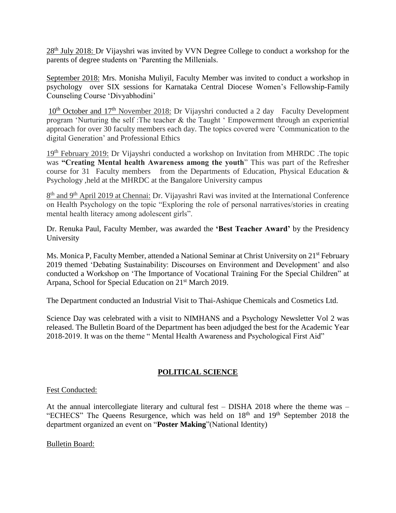28<sup>th</sup> July 2018: Dr Vijayshri was invited by VVN Degree College to conduct a workshop for the parents of degree students on 'Parenting the Millenials.

September 2018: Mrs. Monisha Muliyil, Faculty Member was invited to conduct a workshop in psychology over SIX sessions for Karnataka Central Diocese Women's Fellowship-Family Counseling Course 'Divyabhodini'

10<sup>th</sup> October and 17<sup>th</sup> November 2018: Dr Vijayshri conducted a 2 day Faculty Development program 'Nurturing the self :The teacher & the Taught ' Empowerment through an experiential approach for over 30 faculty members each day. The topics covered were 'Communication to the digital Generation' and Professional Ethics

19th February 2019: Dr Vijayshri conducted a workshop on Invitation from MHRDC .The topic was **"Creating Mental health Awareness among the youth**" This was part of the Refresher course for 31 Faculty members from the Departments of Education, Physical Education  $\&$ Psychology ,held at the MHRDC at the Bangalore University campus

8<sup>th</sup> and 9<sup>th</sup> April 2019 at Chennai: Dr. Vijayashri Ravi was invited at the International Conference on Health Psychology on the topic "Exploring the role of personal narratives/stories in creating mental health literacy among adolescent girls".

Dr. Renuka Paul, Faculty Member, was awarded the **'Best Teacher Award'** by the Presidency University

Ms. Monica P, Faculty Member, attended a National Seminar at Christ University on 21<sup>st</sup> February 2019 themed 'Debating Sustainability: Discourses on Environment and Development' and also conducted a Workshop on 'The Importance of Vocational Training For the Special Children" at Arpana, School for Special Education on 21<sup>st</sup> March 2019.

The Department conducted an Industrial Visit to Thai-Ashique Chemicals and Cosmetics Ltd.

Science Day was celebrated with a visit to NIMHANS and a Psychology Newsletter Vol 2 was released. The Bulletin Board of the Department has been adjudged the best for the Academic Year 2018-2019. It was on the theme " Mental Health Awareness and Psychological First Aid"

### **POLITICAL SCIENCE**

#### Fest Conducted:

At the annual intercollegiate literary and cultural fest – DISHA 2018 where the theme was – "ECHECS" The Queens Resurgence, which was held on  $18<sup>th</sup>$  and  $19<sup>th</sup>$  September 2018 the department organized an event on "**Poster Making**"(National Identity)

#### Bulletin Board: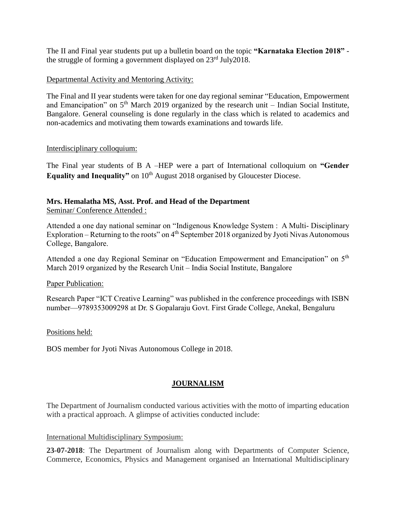The II and Final year students put up a bulletin board on the topic **"Karnataka Election 2018"** the struggle of forming a government displayed on 23<sup>rd</sup> July2018.

### Departmental Activity and Mentoring Activity:

The Final and II year students were taken for one day regional seminar "Education, Empowerment and Emancipation" on  $5<sup>th</sup>$  March 2019 organized by the research unit – Indian Social Institute, Bangalore. General counseling is done regularly in the class which is related to academics and non-academics and motivating them towards examinations and towards life.

### Interdisciplinary colloquium:

The Final year students of B A –HEP were a part of International colloquium on **"Gender Equality and Inequality"** on 10<sup>th</sup> August 2018 organised by Gloucester Diocese.

### **Mrs. Hemalatha MS, Asst. Prof. and Head of the Department**

Seminar/ Conference Attended :

Attended a one day national seminar on "Indigenous Knowledge System : A Multi- Disciplinary Exploration – Returning to the roots" on 4<sup>th</sup> September 2018 organized by Jyoti Nivas Autonomous College, Bangalore.

Attended a one day Regional Seminar on "Education Empowerment and Emancipation" on 5th March 2019 organized by the Research Unit – India Social Institute, Bangalore

### Paper Publication:

Research Paper "ICT Creative Learning" was published in the conference proceedings with ISBN number—9789353009298 at Dr. S Gopalaraju Govt. First Grade College, Anekal, Bengaluru

### Positions held:

BOS member for Jyoti Nivas Autonomous College in 2018.

### **JOURNALISM**

The Department of Journalism conducted various activities with the motto of imparting education with a practical approach. A glimpse of activities conducted include:

### International Multidisciplinary Symposium:

**23-07-2018**: The Department of Journalism along with Departments of Computer Science, Commerce, Economics, Physics and Management organised an International Multidisciplinary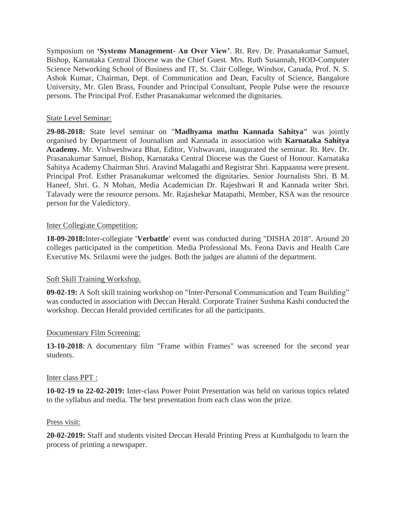Symposium on **'Systems Management- An Over View'**. Rt. Rev. Dr. Prasanakumar Samuel, Bishop, Karnataka Central Diocese was the Chief Guest. Mrs. Ruth Susannah, HOD-Computer Science Networking School of Business and IT, St. Clair College, Windsor, Canada, Prof. N. S. Ashok Kumar, Chairman, Dept. of Communication and Dean, Faculty of Science, Bangalore University, Mr. Glen Brass, Founder and Principal Consultant, People Pulse were the resource persons. The Principal Prof. Esther Prasanakumar welcomed the dignitaries.

### State Level Seminar:

**29-08-2018:** State level seminar on "**Madhyama mathu Kannada Sahitya"** was jointly organised by Department of Journalism and Kannada in association with **Karnataka Sahitya Academy.** Mr. Vishweshwara Bhat, Editor, Vishwavani, inaugurated the seminar. Rt. Rev. Dr. Prasanakumar Samuel, Bishop, Karnataka Central Diocese was the Guest of Honour. Karnataka Sahitya Academy Chairman Shri. Aravind Malagathi and Registrar Shri. Kappaanna were present. Principal Prof. Esther Prasanakumar welcomed the dignitaries. Senior Journalists Shri. B M. Haneef, Shri. G. N Mohan, Media Academician Dr. Rajeshwari R and Kannada writer Shri. Talavady were the resource persons. Mr. Rajashekar Matapathi, Member, KSA was the resource person for the Valedictory.

### Inter Collegiate Competition:

**18-09-2018:**Inter-collegiate **'Verbattle'** event was conducted during "DISHA 2018". Around 20 colleges participated in the competition. Media Professional Ms. Feona Davis and Health Care Executive Ms. Srilaxmi were the judges. Both the judges are alumni of the department.

### Soft Skill Training Workshop.

**09-02-19:** A Soft skill training workshop on "Inter-Personal Communication and Team Building" was conducted in association with Deccan Herald. Corporate Trainer Sushma Kashi conducted the workshop. Deccan Herald provided certificates for all the participants.

#### Documentary Film Screening:

**13-10-2018**: A documentary film "Frame within Frames" was screened for the second year students.

#### Inter class PPT :

**10-02-19 to 22-02-2019:** Inter-class Power Point Presentation was held on various topics related to the syllabus and media. The best presentation from each class won the prize.

#### Press visit:

**20-02-2019:** Staff and students visited Deccan Herald Printing Press at Kumbalgodu to learn the process of printing a newspaper.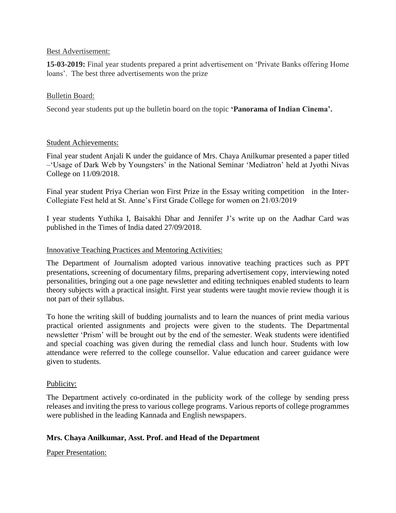#### Best Advertisement:

**15-03-2019:** Final year students prepared a print advertisement on 'Private Banks offering Home loans'. The best three advertisements won the prize

#### Bulletin Board:

Second year students put up the bulletin board on the topic **'Panorama of Indian Cinema'.**

#### Student Achievements:

Final year student Anjali K under the guidance of Mrs. Chaya Anilkumar presented a paper titled –'Usage of Dark Web by Youngsters' in the National Seminar 'Mediatron' held at Jyothi Nivas College on 11/09/2018.

Final year student Priya Cherian won First Prize in the Essay writing competition in the Inter-Collegiate Fest held at St. Anne's First Grade College for women on 21/03/2019

I year students Yuthika I, Baisakhi Dhar and Jennifer J's write up on the Aadhar Card was published in the Times of India dated 27/09/2018.

#### Innovative Teaching Practices and Mentoring Activities:

The Department of Journalism adopted various innovative teaching practices such as PPT presentations, screening of documentary films, preparing advertisement copy, interviewing noted personalities, bringing out a one page newsletter and editing techniques enabled students to learn theory subjects with a practical insight. First year students were taught movie review though it is not part of their syllabus.

To hone the writing skill of budding journalists and to learn the nuances of print media various practical oriented assignments and projects were given to the students. The Departmental newsletter 'Prism' will be brought out by the end of the semester. Weak students were identified and special coaching was given during the remedial class and lunch hour. Students with low attendance were referred to the college counsellor. Value education and career guidance were given to students.

#### Publicity:

The Department actively co-ordinated in the publicity work of the college by sending press releases and inviting the press to various college programs. Various reports of college programmes were published in the leading Kannada and English newspapers.

#### **Mrs. Chaya Anilkumar, Asst. Prof. and Head of the Department**

Paper Presentation: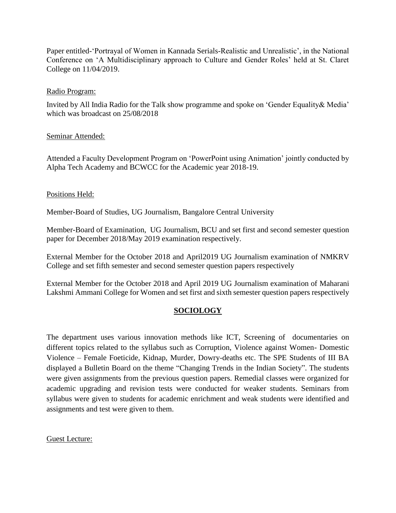Paper entitled-'Portrayal of Women in Kannada Serials-Realistic and Unrealistic', in the National Conference on 'A Multidisciplinary approach to Culture and Gender Roles' held at St. Claret College on 11/04/2019.

### Radio Program:

Invited by All India Radio for the Talk show programme and spoke on 'Gender Equality& Media' which was broadcast on 25/08/2018

### Seminar Attended:

Attended a Faculty Development Program on 'PowerPoint using Animation' jointly conducted by Alpha Tech Academy and BCWCC for the Academic year 2018-19.

### Positions Held:

Member-Board of Studies, UG Journalism, Bangalore Central University

Member-Board of Examination, UG Journalism, BCU and set first and second semester question paper for December 2018/May 2019 examination respectively.

External Member for the October 2018 and April2019 UG Journalism examination of NMKRV College and set fifth semester and second semester question papers respectively

External Member for the October 2018 and April 2019 UG Journalism examination of Maharani Lakshmi Ammani College for Women and set first and sixth semester question papers respectively

### **SOCIOLOGY**

The department uses various innovation methods like ICT, Screening of documentaries on different topics related to the syllabus such as Corruption, Violence against Women- Domestic Violence – Female Foeticide, Kidnap, Murder, Dowry-deaths etc. The SPE Students of III BA displayed a Bulletin Board on the theme "Changing Trends in the Indian Society". The students were given assignments from the previous question papers. Remedial classes were organized for academic upgrading and revision tests were conducted for weaker students. Seminars from syllabus were given to students for academic enrichment and weak students were identified and assignments and test were given to them.

Guest Lecture: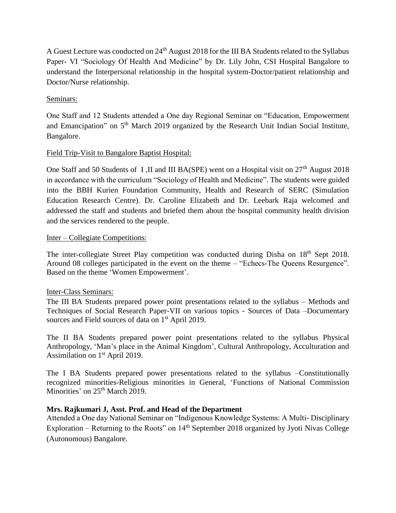A Guest Lecture was conducted on 24<sup>th</sup> August 2018 for the III BA Students related to the Syllabus Paper- VI "Sociology Of Health And Medicine" by Dr. Lily John, CSI Hospital Bangalore to understand the Interpersonal relationship in the hospital system-Doctor/patient relationship and Doctor/Nurse relationship.

### Seminars:

One Staff and 12 Students attended a One day Regional Seminar on "Education, Empowerment and Emancipation" on 5<sup>th</sup> March 2019 organized by the Research Unit Indian Social Institute, Bangalore.

### Field Trip-Visit to Bangalore Baptist Hospital:

One Staff and 50 Students of I , II and III BA(SPE) went on a Hospital visit on  $27<sup>th</sup>$  August 2018 in accordance with the curriculum "Sociology of Health and Medicine". The students were guided into the BBH Kurien Foundation Community, Health and Research of SERC (Simulation Education Research Centre). Dr. Caroline Elizabeth and Dr. Leebark Raja welcomed and addressed the staff and students and briefed them about the hospital community health division and the services rendered to the people.

### Inter – Collegiate Competitions:

The inter-collegiate Street Play competition was conducted during Disha on 18<sup>th</sup> Sept 2018. Around 08 colleges participated in the event on the theme – "Echecs-The Queens Resurgence". Based on the theme 'Women Empowerment'.

### Inter-Class Seminars:

The III BA Students prepared power point presentations related to the syllabus – Methods and Techniques of Social Research Paper-VII on various topics - Sources of Data –Documentary sources and Field sources of data on 1<sup>st</sup> April 2019.

The II BA Students prepared power point presentations related to the syllabus Physical Anthropology, 'Man's place in the Animal Kingdom', Cultural Anthropology, Acculturation and Assimilation on 1<sup>st</sup> April 2019.

The I BA Students prepared power presentations related to the syllabus –Constitutionally recognized minorities-Religious minorities in General, 'Functions of National Commission Minorities' on 25<sup>th</sup> March 2019.

### **Mrs. Rajkumari J, Asst. Prof. and Head of the Department**

Attended a One day National Seminar on "Indigenous Knowledge Systems: A Multi- Disciplinary Exploration – Returning to the Roots" on  $14<sup>th</sup>$  September 2018 organized by Jyoti Nivas College (Autonomous) Bangalore.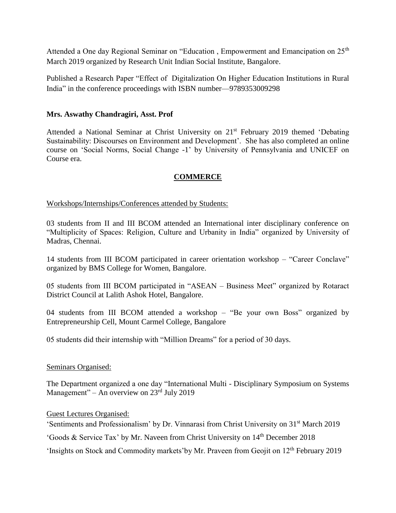Attended a One day Regional Seminar on "Education, Empowerment and Emancipation on 25<sup>th</sup> March 2019 organized by Research Unit Indian Social Institute, Bangalore.

Published a Research Paper "Effect of Digitalization On Higher Education Institutions in Rural India" in the conference proceedings with ISBN number—9789353009298

### **Mrs. Aswathy Chandragiri, Asst. Prof**

Attended a National Seminar at Christ University on 21st February 2019 themed 'Debating Sustainability: Discourses on Environment and Development'. She has also completed an online course on 'Social Norms, Social Change -1' by University of Pennsylvania and UNICEF on Course era.

### **COMMERCE**

Workshops/Internships/Conferences attended by Students:

03 students from II and III BCOM attended an International inter disciplinary conference on "Multiplicity of Spaces: Religion, Culture and Urbanity in India" organized by University of Madras, Chennai.

14 students from III BCOM participated in career orientation workshop – "Career Conclave" organized by BMS College for Women, Bangalore.

05 students from III BCOM participated in "ASEAN – Business Meet" organized by Rotaract District Council at Lalith Ashok Hotel, Bangalore.

04 students from III BCOM attended a workshop – "Be your own Boss" organized by Entrepreneurship Cell, Mount Carmel College, Bangalore

05 students did their internship with "Million Dreams" for a period of 30 days.

#### Seminars Organised:

The Department organized a one day "International Multi - Disciplinary Symposium on Systems Management" – An overview on 23rd July 2019

Guest Lectures Organised:

'Sentiments and Professionalism' by Dr. Vinnarasi from Christ University on 31st March 2019

'Goods & Service Tax' by Mr. Naveen from Christ University on 14th December 2018

'Insights on Stock and Commodity markets'by Mr. Praveen from Geojit on 12<sup>th</sup> February 2019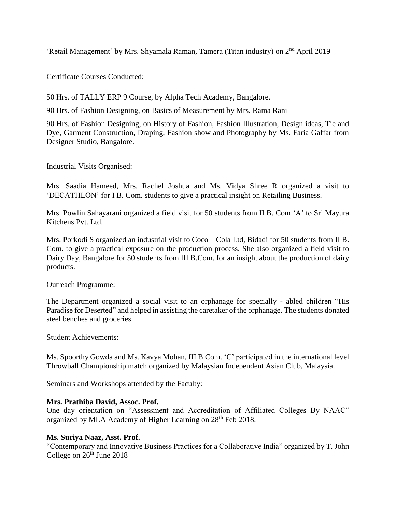'Retail Management' by Mrs. Shyamala Raman, Tamera (Titan industry) on 2nd April 2019

### Certificate Courses Conducted:

50 Hrs. of TALLY ERP 9 Course, by Alpha Tech Academy, Bangalore.

90 Hrs. of Fashion Designing, on Basics of Measurement by Mrs. Rama Rani

90 Hrs. of Fashion Designing, on History of Fashion, Fashion Illustration, Design ideas, Tie and Dye, Garment Construction, Draping, Fashion show and Photography by Ms. Faria Gaffar from Designer Studio, Bangalore.

#### Industrial Visits Organised:

Mrs. Saadia Hameed, Mrs. Rachel Joshua and Ms. Vidya Shree R organized a visit to 'DECATHLON' for I B. Com. students to give a practical insight on Retailing Business.

Mrs. Powlin Sahayarani organized a field visit for 50 students from II B. Com 'A' to Sri Mayura Kitchens Pvt. Ltd.

Mrs. Porkodi S organized an industrial visit to Coco – Cola Ltd, Bidadi for 50 students from II B. Com. to give a practical exposure on the production process. She also organized a field visit to Dairy Day, Bangalore for 50 students from III B.Com. for an insight about the production of dairy products.

#### Outreach Programme:

The Department organized a social visit to an orphanage for specially - abled children "His Paradise for Deserted" and helped in assisting the caretaker of the orphanage. The students donated steel benches and groceries.

#### Student Achievements:

Ms. Spoorthy Gowda and Ms. Kavya Mohan, III B.Com. 'C' participated in the international level Throwball Championship match organized by Malaysian Independent Asian Club, Malaysia.

Seminars and Workshops attended by the Faculty:

#### **Mrs. Prathiba David, Assoc. Prof.**

One day orientation on "Assessment and Accreditation of Affiliated Colleges By NAAC" organized by MLA Academy of Higher Learning on 28<sup>th</sup> Feb 2018.

#### **Ms. Suriya Naaz, Asst. Prof.**

"Contemporary and Innovative Business Practices for a Collaborative India" organized by T. John College on  $26<sup>th</sup>$  June 2018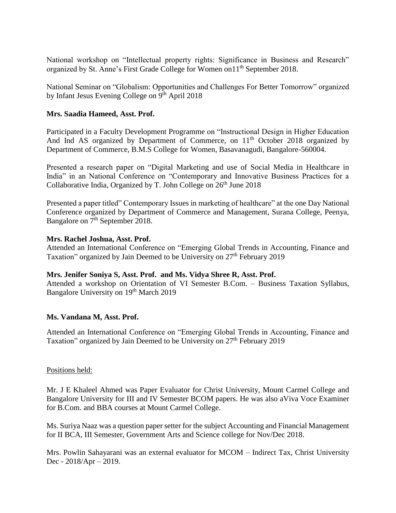National workshop on "Intellectual property rights: Significance in Business and Research" organized by St. Anne's First Grade College for Women on11th September 2018.

National Seminar on "Globalism: Opportunities and Challenges For Better Tomorrow" organized by Infant Jesus Evening College on 9<sup>th</sup> April 2018

### **Mrs. Saadia Hameed, Asst. Prof.**

Participated in a Faculty Development Programme on "Instructional Design in Higher Education And Ind AS organized by Department of Commerce, on 11<sup>th</sup> October 2018 organized by Department of Commerce, B.M.S College for Women, Basavanagudi, Bangalore-560004.

Presented a research paper on "Digital Marketing and use of Social Media in Healthcare in India" in an National Conference on "Contemporary and Innovative Business Practices for a Collaborative India, Organized by T. John College on 26<sup>th</sup> June 2018

Presented a paper titled" Contemporary Issues in marketing of healthcare" at the one Day National Conference organized by Department of Commerce and Management, Surana College, Peenya, Bangalore on 7<sup>th</sup> September 2018.

#### **Mrs. Rachel Joshua, Asst. Prof.**

Attended an International Conference on "Emerging Global Trends in Accounting, Finance and Taxation" organized by Jain Deemed to be University on 27<sup>th</sup> February 2019

#### **Mrs. Jenifer Soniya S, Asst. Prof. and Ms. Vidya Shree R, Asst. Prof.**

Attended a workshop on Orientation of VI Semester B.Com. – Business Taxation Syllabus, Bangalore University on 19<sup>th</sup> March 2019

#### **Ms. Vandana M, Asst. Prof.**

Attended an International Conference on "Emerging Global Trends in Accounting, Finance and Taxation" organized by Jain Deemed to be University on 27<sup>th</sup> February 2019

#### Positions held:

Mr. J E Khaleel Ahmed was Paper Evaluator for Christ University, Mount Carmel College and Bangalore University for III and IV Semester BCOM papers. He was also aViva Voce Examiner for B.Com. and BBA courses at Mount Carmel College.

Ms. Suriya Naaz was a question paper setter for the subject Accounting and Financial Management for II BCA, III Semester, Government Arts and Science college for Nov/Dec 2018.

Mrs. Powlin Sahayarani was an external evaluator for MCOM – Indirect Tax, Christ University Dec - 2018/Apr – 2019.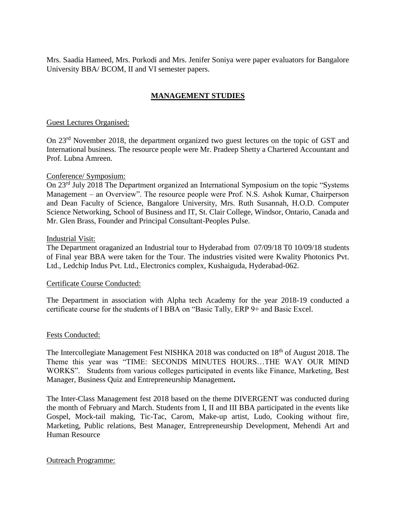Mrs. Saadia Hameed, Mrs. Porkodi and Mrs. Jenifer Soniya were paper evaluators for Bangalore University BBA/ BCOM, II and VI semester papers.

### **MANAGEMENT STUDIES**

#### Guest Lectures Organised:

On 23rd November 2018, the department organized two guest lectures on the topic of GST and International business. The resource people were Mr. Pradeep Shetty a Chartered Accountant and Prof. Lubna Amreen.

#### Conference/ Symposium:

On 23rd July 2018 The Department organized an International Symposium on the topic "Systems Management – an Overview". The resource people were Prof. N.S. Ashok Kumar, Chairperson and Dean Faculty of Science, Bangalore University, Mrs. Ruth Susannah, H.O.D. Computer Science Networking, School of Business and IT, St. Clair College, Windsor, Ontario, Canada and Mr. Glen Brass, Founder and Principal Consultant-Peoples Pulse.

#### Industrial Visit:

The Department oraganized an Industrial tour to Hyderabad from 07/09/18 T0 10/09/18 students of Final year BBA were taken for the Tour. The industries visited were Kwality Photonics Pvt. Ltd., Ledchip Indus Pvt. Ltd., Electronics complex, Kushaiguda, Hyderabad-062.

#### Certificate Course Conducted:

The Department in association with Alpha tech Academy for the year 2018-19 conducted a certificate course for the students of I BBA on "Basic Tally, ERP 9+ and Basic Excel.

#### Fests Conducted:

The Intercollegiate Management Fest NISHKA 2018 was conducted on 18<sup>th</sup> of August 2018. The Theme this year was "TIME: SECONDS MINUTES HOURS…THE WAY OUR MIND WORKS". Students from various colleges participated in events like Finance, Marketing, Best Manager, Business Quiz and Entrepreneurship Management**.** 

The Inter-Class Management fest 2018 based on the theme DIVERGENT was conducted during the month of February and March. Students from I, II and III BBA participated in the events like Gospel, Mock-tail making, Tic-Tac, Carom, Make-up artist, Ludo, Cooking without fire, Marketing, Public relations, Best Manager, Entrepreneurship Development, Mehendi Art and Human Resource

#### Outreach Programme: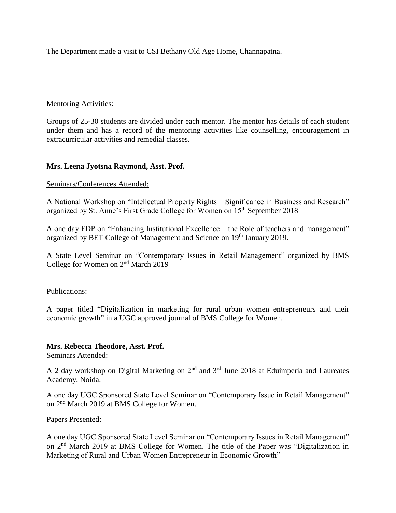The Department made a visit to CSI Bethany Old Age Home, Channapatna.

#### Mentoring Activities:

Groups of 25-30 students are divided under each mentor. The mentor has details of each student under them and has a record of the mentoring activities like counselling, encouragement in extracurricular activities and remedial classes.

#### **Mrs. Leena Jyotsna Raymond, Asst. Prof.**

#### Seminars/Conferences Attended:

A National Workshop on "Intellectual Property Rights – Significance in Business and Research" organized by St. Anne's First Grade College for Women on 15<sup>th</sup> September 2018

A one day FDP on "Enhancing Institutional Excellence – the Role of teachers and management" organized by BET College of Management and Science on 19<sup>th</sup> January 2019.

A State Level Seminar on "Contemporary Issues in Retail Management" organized by BMS College for Women on 2nd March 2019

#### Publications:

A paper titled "Digitalization in marketing for rural urban women entrepreneurs and their economic growth" in a UGC approved journal of BMS College for Women.

#### **Mrs. Rebecca Theodore, Asst. Prof.**

Seminars Attended:

A 2 day workshop on Digital Marketing on  $2<sup>nd</sup>$  and  $3<sup>rd</sup>$  June 2018 at Eduimperia and Laureates Academy, Noida.

A one day UGC Sponsored State Level Seminar on "Contemporary Issue in Retail Management" on 2nd March 2019 at BMS College for Women.

#### Papers Presented:

A one day UGC Sponsored State Level Seminar on "Contemporary Issues in Retail Management" on 2nd March 2019 at BMS College for Women. The title of the Paper was "Digitalization in Marketing of Rural and Urban Women Entrepreneur in Economic Growth"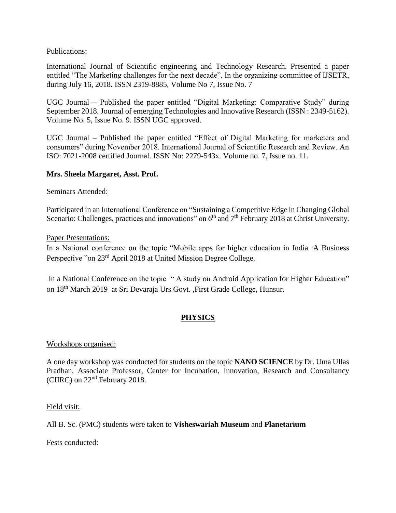#### Publications:

International Journal of Scientific engineering and Technology Research. Presented a paper entitled "The Marketing challenges for the next decade". In the organizing committee of IJSETR, during July 16, 2018. ISSN 2319-8885, Volume No 7, Issue No. 7

UGC Journal – Published the paper entitled "Digital Marketing: Comparative Study" during September 2018. Journal of emerging Technologies and Innovative Research (ISSN : 2349-5162). Volume No. 5, Issue No. 9. ISSN UGC approved.

UGC Journal – Published the paper entitled "Effect of Digital Marketing for marketers and consumers" during November 2018. International Journal of Scientific Research and Review. An ISO: 7021-2008 certified Journal. ISSN No: 2279-543x. Volume no. 7, Issue no. 11.

#### **Mrs. Sheela Margaret, Asst. Prof.**

Seminars Attended:

Participated in an International Conference on "Sustaining a Competitive Edge in Changing Global Scenario: Challenges, practices and innovations" on  $6<sup>th</sup>$  and  $7<sup>th</sup>$  February 2018 at Christ University.

#### Paper Presentations:

In a National conference on the topic "Mobile apps for higher education in India :A Business Perspective "on 23rd April 2018 at United Mission Degree College.

In a National Conference on the topic " A study on Android Application for Higher Education" on 18<sup>th</sup> March 2019 at Sri Devaraja Urs Govt. ,First Grade College, Hunsur.

### **PHYSICS**

#### Workshops organised:

A one day workshop was conducted for students on the topic **NANO SCIENCE** by Dr. Uma Ullas Pradhan, Associate Professor, Center for Incubation, Innovation, Research and Consultancy (CIIRC) on 22nd February 2018.

Field visit:

All B. Sc. (PMC) students were taken to **Visheswariah Museum** and **Planetarium**

Fests conducted: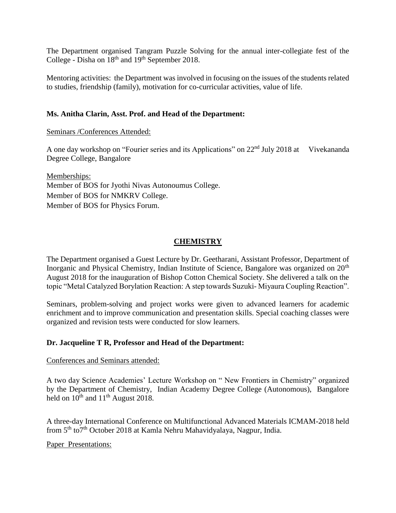The Department organised Tangram Puzzle Solving for the annual inter-collegiate fest of the College - Disha on  $18^{th}$  and  $19^{th}$  September 2018.

Mentoring activities: the Department was involved in focusing on the issues of the students related to studies, friendship (family), motivation for co-curricular activities, value of life.

### **Ms. Anitha Clarin, Asst. Prof. and Head of the Department:**

Seminars /Conferences Attended:

A one day workshop on "Fourier series and its Applications" on 22<sup>nd</sup> July 2018 at Vivekananda Degree College, Bangalore

Memberships: Member of BOS for Jyothi Nivas Autonoumus College. Member of BOS for NMKRV College. Member of BOS for Physics Forum.

### **CHEMISTRY**

The Department organised a Guest Lecture by Dr. Geetharani, Assistant Professor, Department of Inorganic and Physical Chemistry, Indian Institute of Science, Bangalore was organized on 20<sup>th</sup> August 2018 for the inauguration of Bishop Cotton Chemical Society. She delivered a talk on the topic "Metal Catalyzed Borylation Reaction: A step towards Suzuki- Miyaura Coupling Reaction".

Seminars, problem-solving and project works were given to advanced learners for academic enrichment and to improve communication and presentation skills. Special coaching classes were organized and revision tests were conducted for slow learners.

#### **Dr. Jacqueline T R, Professor and Head of the Department:**

#### Conferences and Seminars attended:

A two day Science Academies' Lecture Workshop on " New Frontiers in Chemistry" organized by the Department of Chemistry, Indian Academy Degree College (Autonomous), Bangalore held on  $10^{th}$  and  $11^{th}$  August 2018.

A three-day International Conference on Multifunctional Advanced Materials ICMAM-2018 held from 5<sup>th</sup> to<sup>7th</sup> October 2018 at Kamla Nehru Mahavidyalaya, Nagpur, India.

Paper Presentations: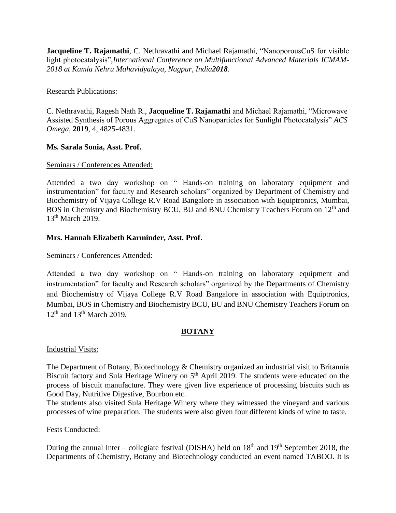**Jacqueline T. Rajamathi**, C. Nethravathi and Michael Rajamathi, "NanoporousCuS for visible light photocatalysis",*Inter*n*ational Conference on Multifunctional Advanced Materials ICMAM-2018 at Kamla Nehru Mahavidyalaya, Nagpur, India2018.* 

#### Research Publications:

C. Nethravathi, Ragesh Nath R., **Jacqueline T. Rajamathi** and Michael Rajamathi, "Microwave Assisted Synthesis of Porous Aggregates of CuS Nanoparticles for Sunlight Photocatalysis" *ACS Omega*, **2019**, 4, 4825-4831.

### **Ms. Sarala Sonia, Asst. Prof.**

### Seminars / Conferences Attended:

Attended a two day workshop on " Hands-on training on laboratory equipment and instrumentation" for faculty and Research scholars" organized by Department of Chemistry and Biochemistry of Vijaya College R.V Road Bangalore in association with Equiptronics, Mumbai, BOS in Chemistry and Biochemistry BCU, BU and BNU Chemistry Teachers Forum on 12<sup>th</sup> and 13<sup>th</sup> March 2019.

### **Mrs. Hannah Elizabeth Karminder, Asst. Prof.**

### Seminars / Conferences Attended:

Attended a two day workshop on " Hands-on training on laboratory equipment and instrumentation" for faculty and Research scholars" organized by the Departments of Chemistry and Biochemistry of Vijaya College R.V Road Bangalore in association with Equiptronics, Mumbai, BOS in Chemistry and Biochemistry BCU, BU and BNU Chemistry Teachers Forum on  $12<sup>th</sup>$  and  $13<sup>th</sup>$  March 2019.

#### **BOTANY**

#### Industrial Visits:

The Department of Botany, Biotechnology & Chemistry organized an industrial visit to Britannia Biscuit factory and Sula Heritage Winery on 5<sup>th</sup> April 2019. The students were educated on the process of biscuit manufacture. They were given live experience of processing biscuits such as Good Day, Nutritive Digestive, Bourbon etc.

The students also visited Sula Heritage Winery where they witnessed the vineyard and various processes of wine preparation. The students were also given four different kinds of wine to taste.

#### Fests Conducted:

During the annual Inter – collegiate festival (DISHA) held on  $18<sup>th</sup>$  and  $19<sup>th</sup>$  September 2018, the Departments of Chemistry, Botany and Biotechnology conducted an event named TABOO. It is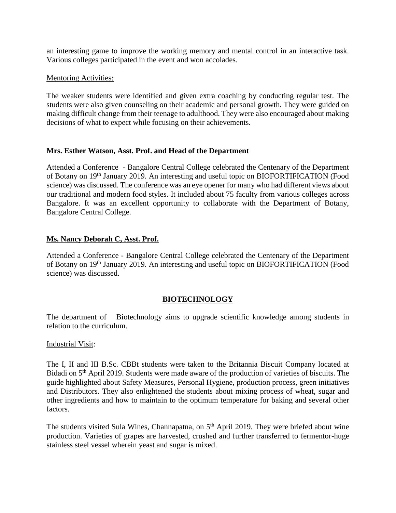an interesting game to improve the working memory and mental control in an interactive task. Various colleges participated in the event and won accolades.

#### Mentoring Activities:

The weaker students were identified and given extra coaching by conducting regular test. The students were also given counseling on their academic and personal growth. They were guided on making difficult change from their teenage to adulthood. They were also encouraged about making decisions of what to expect while focusing on their achievements.

### **Mrs. Esther Watson, Asst. Prof. and Head of the Department**

Attended a Conference - Bangalore Central College celebrated the Centenary of the Department of Botany on 19th January 2019. An interesting and useful topic on BIOFORTIFICATION (Food science) was discussed. The conference was an eye opener for many who had different views about our traditional and modern food styles. It included about 75 faculty from various colleges across Bangalore. It was an excellent opportunity to collaborate with the Department of Botany, Bangalore Central College.

### **Ms. Nancy Deborah C, Asst. Prof.**

Attended a Conference - Bangalore Central College celebrated the Centenary of the Department of Botany on 19<sup>th</sup> January 2019. An interesting and useful topic on BIOFORTIFICATION (Food science) was discussed.

### **BIOTECHNOLOGY**

The department of Biotechnology aims to upgrade scientific knowledge among students in relation to the curriculum.

#### Industrial Visit:

The I, II and III B.Sc. CBBt students were taken to the Britannia Biscuit Company located at Bidadi on 5<sup>th</sup> April 2019. Students were made aware of the production of varieties of biscuits. The guide highlighted about Safety Measures, Personal Hygiene, production process, green initiatives and Distributors. They also enlightened the students about mixing process of wheat, sugar and other ingredients and how to maintain to the optimum temperature for baking and several other factors.

The students visited Sula Wines, Channapatna, on 5<sup>th</sup> April 2019. They were briefed about wine production. Varieties of grapes are harvested, crushed and further transferred to fermentor-huge stainless steel vessel wherein yeast and sugar is mixed.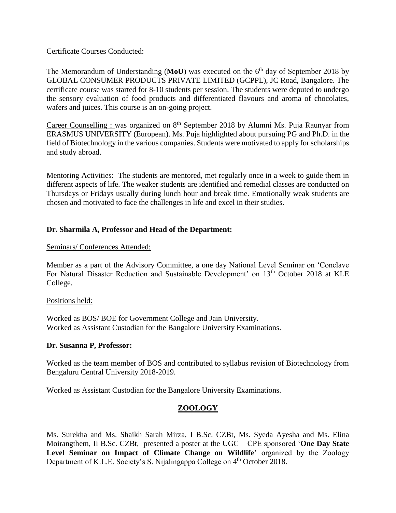#### Certificate Courses Conducted:

The Memorandum of Understanding (MoU) was executed on the 6<sup>th</sup> day of September 2018 by GLOBAL CONSUMER PRODUCTS PRIVATE LIMITED (GCPPL), JC Road, Bangalore. The certificate course was started for 8-10 students per session. The students were deputed to undergo the sensory evaluation of food products and differentiated flavours and aroma of chocolates, wafers and juices. This course is an on-going project.

Career Counselling : was organized on  $8<sup>th</sup>$  September 2018 by Alumni Ms. Puja Raunyar from ERASMUS UNIVERSITY (European). Ms. Puja highlighted about pursuing PG and Ph.D. in the field of Biotechnology in the various companies. Students were motivated to apply for scholarships and study abroad.

Mentoring Activities: The students are mentored, met regularly once in a week to guide them in different aspects of life. The weaker students are identified and remedial classes are conducted on Thursdays or Fridays usually during lunch hour and break time. Emotionally weak students are chosen and motivated to face the challenges in life and excel in their studies.

### **Dr. Sharmila A, Professor and Head of the Department:**

Seminars/ Conferences Attended:

Member as a part of the Advisory Committee, a one day National Level Seminar on 'Conclave For Natural Disaster Reduction and Sustainable Development' on 13<sup>th</sup> October 2018 at KLE College.

#### Positions held:

Worked as BOS/ BOE for Government College and Jain University. Worked as Assistant Custodian for the Bangalore University Examinations.

#### **Dr. Susanna P, Professor:**

Worked as the team member of BOS and contributed to syllabus revision of Biotechnology from Bengaluru Central University 2018-2019.

Worked as Assistant Custodian for the Bangalore University Examinations.

### **ZOOLOGY**

Ms. Surekha and Ms. Shaikh Sarah Mirza, I B.Sc. CZBt, Ms. Syeda Ayesha and Ms. Elina Moirangthem, II B.Sc. CZBt, presented a poster at the UGC – CPE sponsored '**One Day State**  Level Seminar on Impact of Climate Change on Wildlife' organized by the Zoology Department of K.L.E. Society's S. Nijalingappa College on 4<sup>th</sup> October 2018.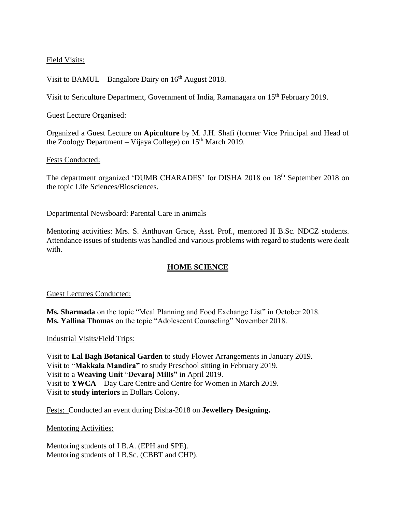### Field Visits:

Visit to BAMUL – Bangalore Dairy on  $16<sup>th</sup>$  August 2018.

Visit to Sericulture Department, Government of India, Ramanagara on 15<sup>th</sup> February 2019.

#### Guest Lecture Organised:

Organized a Guest Lecture on **Apiculture** by M. J.H. Shafi (former Vice Principal and Head of the Zoology Department – Vijaya College) on  $15<sup>th</sup>$  March 2019.

#### Fests Conducted:

The department organized 'DUMB CHARADES' for DISHA 2018 on 18th September 2018 on the topic Life Sciences/Biosciences.

Departmental Newsboard: Parental Care in animals

Mentoring activities: Mrs. S. Anthuvan Grace, Asst. Prof., mentored II B.Sc. NDCZ students. Attendance issues of students was handled and various problems with regard to students were dealt with.

### **HOME SCIENCE**

#### Guest Lectures Conducted:

**Ms. Sharmada** on the topic "Meal Planning and Food Exchange List" in October 2018. **Ms. Yallina Thomas** on the topic "Adolescent Counseling" November 2018.

Industrial Visits/Field Trips:

Visit to **Lal Bagh Botanical Garden** to study Flower Arrangements in January 2019. Visit to "**Makkala Mandira"** to study Preschool sitting in February 2019. Visit to a **Weaving Unit** "**Devaraj Mills"** in April 2019. Visit to **YWCA** – Day Care Centre and Centre for Women in March 2019. Visit to **study interiors** in Dollars Colony.

Fests: Conducted an event during Disha-2018 on **Jewellery Designing.**

Mentoring Activities:

Mentoring students of I B.A. (EPH and SPE). Mentoring students of I B.Sc. (CBBT and CHP).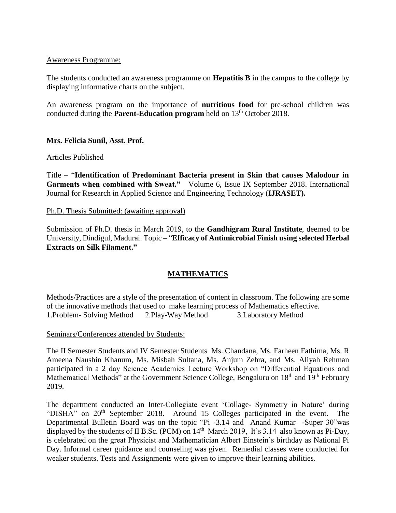#### Awareness Programme:

The students conducted an awareness programme on **Hepatitis B** in the campus to the college by displaying informative charts on the subject.

An awareness program on the importance of **nutritious food** for pre-school children was conducted during the **Parent-Education program** held on 13<sup>th</sup> October 2018.

#### **Mrs. Felicia Sunil, Asst. Prof.**

#### Articles Published

Title – "**Identification of Predominant Bacteria present in Skin that causes Malodour in Garments when combined with Sweat."** Volume 6, Issue IX September 2018. International Journal for Research in Applied Science and Engineering Technology (**IJRASET).**

#### Ph.D. Thesis Submitted: (awaiting approval)

Submission of Ph.D. thesis in March 2019, to the **Gandhigram Rural Institute**, deemed to be University, Dindigul, Madurai. Topic – "**Efficacy of Antimicrobial Finish using selected Herbal Extracts on Silk Filament."**

### **MATHEMATICS**

Methods/Practices are a style of the presentation of content in classroom. The following are some of the innovative methods that used to make learning process of Mathematics effective. 1.Problem- Solving Method 2.Play-Way Method 3.Laboratory Method

#### Seminars/Conferences attended by Students:

The II Semester Students and IV Semester Students Ms. Chandana, Ms. Farheen Fathima, Ms. R Ameena Naushin Khanum, Ms. Misbah Sultana, Ms. Anjum Zehra, and Ms. Aliyah Rehman participated in a 2 day Science Academies Lecture Workshop on "Differential Equations and Mathematical Methods" at the Government Science College, Bengaluru on 18<sup>th</sup> and 19<sup>th</sup> February 2019.

The department conducted an Inter-Collegiate event 'Collage- Symmetry in Nature' during "DISHA" on  $20<sup>th</sup>$  September 2018. Around 15 Colleges participated in the event. The Departmental Bulletin Board was on the topic "Pi -3.14 and Anand Kumar -Super 30"was displayed by the students of II B.Sc. (PCM) on  $14<sup>th</sup>$  March 2019, It's 3.14 also known as Pi-Day, is celebrated on the great Physicist and Mathematician Albert Einstein's birthday as National Pi Day. Informal career guidance and counseling was given. Remedial classes were conducted for weaker students. Tests and Assignments were given to improve their learning abilities.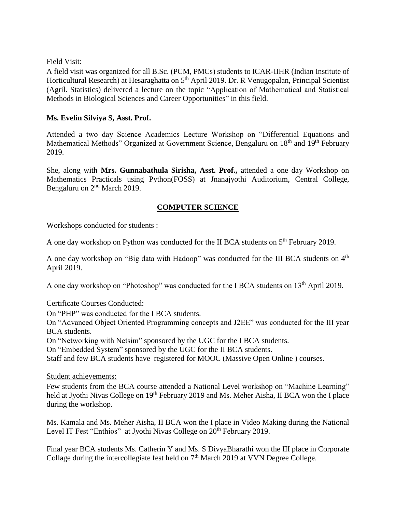#### Field Visit:

A field visit was organized for all B.Sc. (PCM, PMCs) students to ICAR-IIHR (Indian Institute of Horticultural Research) at Hesaraghatta on 5<sup>th</sup> April 2019. Dr. R Venugopalan, Principal Scientist (Agril. Statistics) delivered a lecture on the topic "Application of Mathematical and Statistical Methods in Biological Sciences and Career Opportunities" in this field.

### **Ms. Evelin Silviya S, Asst. Prof.**

Attended a two day Science Academics Lecture Workshop on "Differential Equations and Mathematical Methods" Organized at Government Science, Bengaluru on 18<sup>th</sup> and 19<sup>th</sup> February 2019.

She, along with **Mrs. Gunnabathula Sirisha, Asst. Prof.,** attended a one day Workshop on Mathematics Practicals using Python(FOSS) at Jnanajyothi Auditorium, Central College, Bengaluru on 2<sup>nd</sup> March 2019.

### **COMPUTER SCIENCE**

#### Workshops conducted for students :

A one day workshop on Python was conducted for the II BCA students on 5<sup>th</sup> February 2019.

A one day workshop on "Big data with Hadoop" was conducted for the III BCA students on 4<sup>th</sup> April 2019.

A one day workshop on "Photoshop" was conducted for the I BCA students on 13<sup>th</sup> April 2019.

#### Certificate Courses Conducted:

On "PHP" was conducted for the I BCA students.

On "Advanced Object Oriented Programming concepts and J2EE" was conducted for the III year BCA students.

On "Networking with Netsim" sponsored by the UGC for the I BCA students.

On "Embedded System" sponsored by the UGC for the II BCA students.

Staff and few BCA students have registered for MOOC (Massive Open Online ) courses.

#### Student achievements:

Few students from the BCA course attended a National Level workshop on "Machine Learning" held at Jyothi Nivas College on 19<sup>th</sup> February 2019 and Ms. Meher Aisha, II BCA won the I place during the workshop.

Ms. Kamala and Ms. Meher Aisha, II BCA won the I place in Video Making during the National Level IT Fest "Enthios" at Jyothi Nivas College on 20<sup>th</sup> February 2019.

Final year BCA students Ms. Catherin Y and Ms. S DivyaBharathi won the III place in Corporate Collage during the intercollegiate fest held on 7<sup>th</sup> March 2019 at VVN Degree College.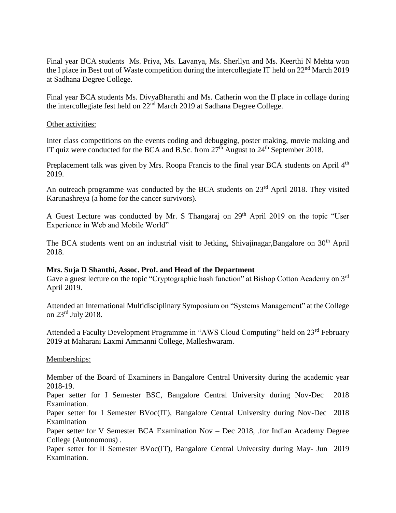Final year BCA students Ms. Priya, Ms. Lavanya, Ms. Sherllyn and Ms. Keerthi N Mehta won the I place in Best out of Waste competition during the intercollegiate IT held on 22<sup>nd</sup> March 2019 at Sadhana Degree College.

Final year BCA students Ms. DivyaBharathi and Ms. Catherin won the II place in collage during the intercollegiate fest held on 22<sup>nd</sup> March 2019 at Sadhana Degree College.

#### Other activities:

Inter class competitions on the events coding and debugging, poster making, movie making and IT quiz were conducted for the BCA and B.Sc. from  $27<sup>th</sup>$  August to  $24<sup>th</sup>$  September 2018.

Preplacement talk was given by Mrs. Roopa Francis to the final year BCA students on April 4<sup>th</sup> 2019.

An outreach programme was conducted by the BCA students on 23<sup>rd</sup> April 2018. They visited Karunashreya (a home for the cancer survivors).

A Guest Lecture was conducted by Mr. S Thangaraj on 29<sup>th</sup> April 2019 on the topic "User Experience in Web and Mobile World"

The BCA students went on an industrial visit to Jetking, Shivajinagar,Bangalore on 30<sup>th</sup> April 2018.

#### **Mrs. Suja D Shanthi, Assoc. Prof. and Head of the Department**

Gave a guest lecture on the topic "Cryptographic hash function" at Bishop Cotton Academy on 3<sup>rd</sup> April 2019.

Attended an International Multidisciplinary Symposium on "Systems Management" at the College on 23rd July 2018.

Attended a Faculty Development Programme in "AWS Cloud Computing" held on 23rd February 2019 at Maharani Laxmi Ammanni College, Malleshwaram.

Memberships:

Member of the Board of Examiners in Bangalore Central University during the academic year 2018-19.

Paper setter for I Semester BSC, Bangalore Central University during Nov-Dec 2018 Examination.

Paper setter for I Semester BVoc(IT), Bangalore Central University during Nov-Dec 2018 Examination

Paper setter for V Semester BCA Examination Nov – Dec 2018, .for Indian Academy Degree College (Autonomous) .

Paper setter for II Semester BVoc(IT), Bangalore Central University during May- Jun 2019 Examination.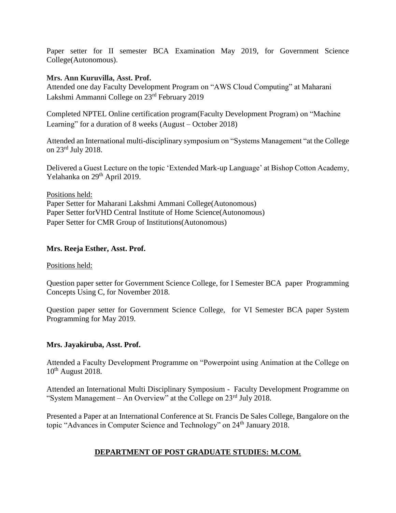Paper setter for II semester BCA Examination May 2019, for Government Science College(Autonomous).

### **Mrs. Ann Kuruvilla, Asst. Prof.**

Attended one day Faculty Development Program on "AWS Cloud Computing" at Maharani Lakshmi Ammanni College on 23rd February 2019

Completed NPTEL Online certification program(Faculty Development Program) on "Machine Learning" for a duration of 8 weeks (August – October 2018)

Attended an International multi-disciplinary symposium on "Systems Management "at the College on 23rd July 2018.

Delivered a Guest Lecture on the topic 'Extended Mark-up Language' at Bishop Cotton Academy, Yelahanka on 29<sup>th</sup> April 2019.

Positions held:

Paper Setter for Maharani Lakshmi Ammani College(Autonomous) Paper Setter forVHD Central Institute of Home Science(Autonomous) Paper Setter for CMR Group of Institutions(Autonomous)

### **Mrs. Reeja Esther, Asst. Prof.**

#### Positions held:

Question paper setter for Government Science College, for I Semester BCA paper Programming Concepts Using C, for November 2018.

Question paper setter for Government Science College, for VI Semester BCA paper System Programming for May 2019.

### **Mrs. Jayakiruba, Asst. Prof.**

Attended a Faculty Development Programme on "Powerpoint using Animation at the College on  $10^{th}$  August 2018.

Attended an International Multi Disciplinary Symposium - Faculty Development Programme on "System Management – An Overview" at the College on 23rd July 2018.

Presented a Paper at an International Conference at St. Francis De Sales College, Bangalore on the topic "Advances in Computer Science and Technology" on 24<sup>th</sup> January 2018.

### **DEPARTMENT OF POST GRADUATE STUDIES: M.COM.**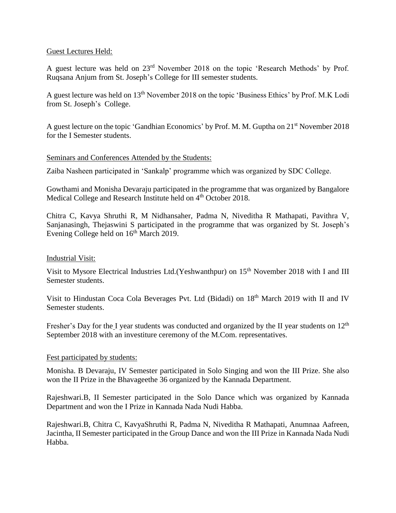#### Guest Lectures Held:

A guest lecture was held on 23rd November 2018 on the topic 'Research Methods' by Prof. Ruqsana Anjum from St. Joseph's College for III semester students.

A guest lecture was held on 13th November 2018 on the topic 'Business Ethics' by Prof. M.K Lodi from St. Joseph's College.

A guest lecture on the topic 'Gandhian Economics' by Prof. M. M. Guptha on 21st November 2018 for the I Semester students.

#### Seminars and Conferences Attended by the Students:

Zaiba Nasheen participated in 'Sankalp' programme which was organized by SDC College.

Gowthami and Monisha Devaraju participated in the programme that was organized by Bangalore Medical College and Research Institute held on 4<sup>th</sup> October 2018.

Chitra C, Kavya Shruthi R, M Nidhansaher, Padma N, Niveditha R Mathapati, Pavithra V, Sanjanasingh, Thejaswini S participated in the programme that was organized by St. Joseph's Evening College held on  $16<sup>th</sup>$  March 2019.

#### Industrial Visit:

Visit to Mysore Electrical Industries Ltd.(Yeshwanthpur) on 15<sup>th</sup> November 2018 with I and III Semester students.

Visit to Hindustan Coca Cola Beverages Pvt. Ltd (Bidadi) on 18<sup>th</sup> March 2019 with II and IV Semester students.

Fresher's Day for the I year students was conducted and organized by the II year students on 12<sup>th</sup> September 2018 with an investiture ceremony of the M.Com. representatives.

#### Fest participated by students:

Monisha. B Devaraju, IV Semester participated in Solo Singing and won the III Prize. She also won the II Prize in the Bhavageethe 36 organized by the Kannada Department.

Rajeshwari.B, II Semester participated in the Solo Dance which was organized by Kannada Department and won the I Prize in Kannada Nada Nudi Habba.

Rajeshwari.B, Chitra C, KavyaShruthi R, Padma N, Niveditha R Mathapati, Anumnaa Aafreen, Jacintha, II Semester participated in the Group Dance and won the III Prize in Kannada Nada Nudi Habba.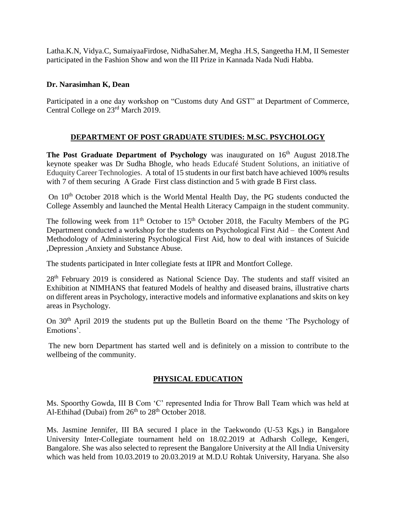Latha.K.N, Vidya.C, SumaiyaaFirdose, NidhaSaher.M, Megha .H.S, Sangeetha H.M, II Semester participated in the Fashion Show and won the III Prize in Kannada Nada Nudi Habba.

### **Dr. Narasimhan K, Dean**

Participated in a one day workshop on "Customs duty And GST" at Department of Commerce, Central College on 23rd March 2019.

### **DEPARTMENT OF POST GRADUATE STUDIES: M.SC. PSYCHOLOGY**

**The Post Graduate Department of Psychology** was inaugurated on 16<sup>th</sup> August 2018.The keynote speaker was Dr Sudha Bhogle, who heads Educafé Student Solutions, an initiative of Eduquity Career Technologies. A total of 15 students in our first batch have achieved 100% results with 7 of them securing A Grade First class distinction and 5 with grade B First class.

On  $10<sup>th</sup>$  October 2018 which is the World Mental Health Day, the PG students conducted the College Assembly and launched the Mental Health Literacy Campaign in the student community.

The following week from  $11<sup>th</sup>$  October to  $15<sup>th</sup>$  October 2018, the Faculty Members of the PG Department conducted a workshop for the students on Psychological First Aid – the Content And Methodology of Administering Psychological First Aid, how to deal with instances of Suicide ,Depression ,Anxiety and Substance Abuse.

The students participated in Inter collegiate fests at IIPR and Montfort College.

28th February 2019 is considered as National Science Day. The students and staff visited an Exhibition at NIMHANS that featured Models of healthy and diseased brains, illustrative charts on different areas in Psychology, interactive models and informative explanations and skits on key areas in Psychology.

On 30<sup>th</sup> April 2019 the students put up the Bulletin Board on the theme 'The Psychology of Emotions'.

The new born Department has started well and is definitely on a mission to contribute to the wellbeing of the community.

### **PHYSICAL EDUCATION**

Ms. Spoorthy Gowda, III B Com 'C' represented India for Throw Ball Team which was held at Al-Ethihad (Dubai) from  $26<sup>th</sup>$  to  $28<sup>th</sup>$  October 2018.

Ms. Jasmine Jennifer, III BA secured I place in the Taekwondo (U-53 Kgs.) in Bangalore University Inter-Collegiate tournament held on 18.02.2019 at Adharsh College, Kengeri, Bangalore. She was also selected to represent the Bangalore University at the All India University which was held from 10.03.2019 to 20.03.2019 at M.D.U Rohtak University, Haryana. She also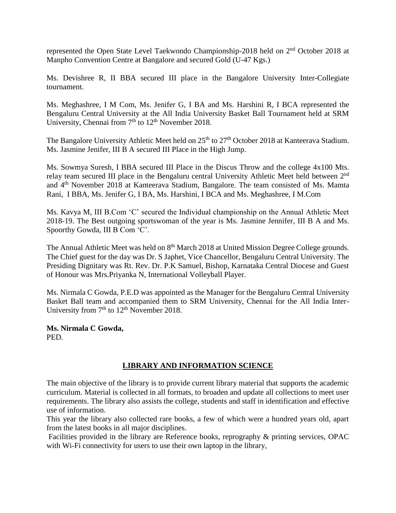represented the Open State Level Taekwondo Championship-2018 held on 2nd October 2018 at Manpho Convention Centre at Bangalore and secured Gold (U-47 Kgs.)

Ms. Devishree R, II BBA secured III place in the Bangalore University Inter-Collegiate tournament.

Ms. Meghashree, I M Com, Ms. Jenifer G, I BA and Ms. Harshini R, I BCA represented the Bengaluru Central University at the All India University Basket Ball Tournament held at SRM University, Chennai from  $7<sup>th</sup>$  to  $12<sup>th</sup>$  November 2018.

The Bangalore University Athletic Meet held on 25<sup>th</sup> to 27<sup>th</sup> October 2018 at Kanteerava Stadium. Ms. Jasmine Jenifer, III B A secured III Place in the High Jump.

Ms. Sowmya Suresh, I BBA secured III Place in the Discus Throw and the college 4x100 Mts. relay team secured III place in the Bengaluru central University Athletic Meet held between 2<sup>nd</sup> and 4<sup>th</sup> November 2018 at Kanteerava Stadium, Bangalore. The team consisted of Ms. Mamta Rani, I BBA, Ms. Jenifer G, I BA, Ms. Harshini, I BCA and Ms. Meghashree, I M.Com

Ms. Kavya M, III B.Com 'C' secured the Individual championship on the Annual Athletic Meet 2018-19. The Best outgoing sportswoman of the year is Ms. Jasmine Jennifer, III B A and Ms. Spoorthy Gowda, III B Com 'C'.

The Annual Athletic Meet was held on 8<sup>th</sup> March 2018 at United Mission Degree College grounds. The Chief guest for the day was Dr. S Japhet, Vice Chancellor, Bengaluru Central University. The Presiding Dignitary was Rt. Rev. Dr. P.K Samuel, Bishop, Karnataka Central Diocese and Guest of Honour was Mrs.Priyanka N, International Volleyball Player.

Ms. Nirmala C Gowda, P.E.D was appointed as the Manager for the Bengaluru Central University Basket Ball team and accompanied them to SRM University, Chennai for the All India Inter-University from  $7<sup>th</sup>$  to  $12<sup>th</sup>$  November 2018.

**Ms. Nirmala C Gowda,** PED.

### **LIBRARY AND INFORMATION SCIENCE**

The main objective of the library is to provide current library material that supports the academic curriculum. Material is collected in all formats, to broaden and update all collections to meet user requirements. The library also assists the college, students and staff in identification and effective use of information.

This year the library also collected rare books, a few of which were a hundred years old, apart from the latest books in all major disciplines.

Facilities provided in the library are Reference books, reprography & printing services, OPAC with Wi-Fi connectivity for users to use their own laptop in the library,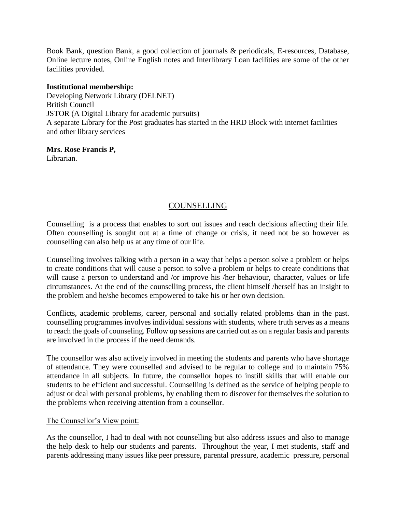Book Bank, question Bank, a good collection of journals & periodicals, E-resources, Database, Online lecture notes, Online English notes and Interlibrary Loan facilities are some of the other facilities provided.

#### **Institutional membership:**

Developing Network Library (DELNET) British Council JSTOR (A Digital Library for academic pursuits) A separate Library for the Post graduates has started in the HRD Block with internet facilities and other library services

#### **Mrs. Rose Francis P,** Librarian.

### COUNSELLING

Counselling is a process that enables to sort out issues and reach decisions affecting their life. Often counselling is sought out at a time of change or crisis, it need not be so however as counselling can also help us at any time of our life.

Counselling involves talking with a person in a way that helps a person solve a problem or helps to create conditions that will cause a person to solve a problem or helps to create conditions that will cause a person to understand and /or improve his /her behaviour, character, values or life circumstances. At the end of the counselling process, the client himself /herself has an insight to the problem and he/she becomes empowered to take his or her own decision.

Conflicts, academic problems, career, personal and socially related problems than in the past. counselling programmes involves individual sessions with students, where truth serves as a means to reach the goals of counseling. Follow up sessions are carried out as on a regular basis and parents are involved in the process if the need demands.

The counsellor was also actively involved in meeting the students and parents who have shortage of attendance. They were counselled and advised to be regular to college and to maintain 75% attendance in all subjects. In future, the counsellor hopes to instill skills that will enable our students to be efficient and successful. Counselling is defined as the service of helping people to adjust or deal with personal problems, by enabling them to discover for themselves the solution to the problems when receiving attention from a counsellor.

### The Counsellor's View point:

As the counsellor, I had to deal with not counselling but also address issues and also to manage the help desk to help our students and parents. Throughout the year, I met students, staff and parents addressing many issues like peer pressure, parental pressure, academic pressure, personal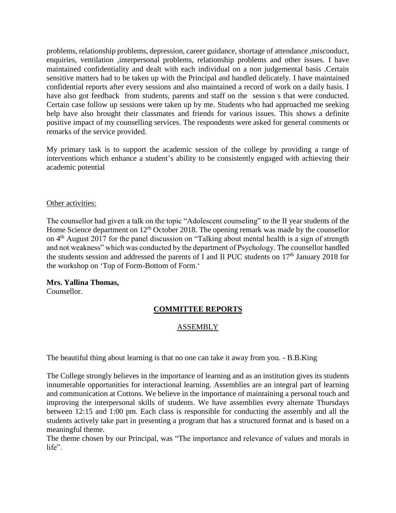problems, relationship problems, depression, career guidance, shortage of attendance ,misconduct, enquiries, ventilation ,interpersonal problems, relationship problems and other issues. I have maintained confidentiality and dealt with each individual on a non judgemental basis .Certain sensitive matters had to be taken up with the Principal and handled delicately. I have maintained confidential reports after every sessions and also maintained a record of work on a daily basis. I have also got feedback from students, parents and staff on the session s that were conducted. Certain case follow up sessions were taken up by me. Students who had approached me seeking help have also brought their classmates and friends for various issues. This shows a definite positive impact of my counselling services. The respondents were asked for general comments or remarks of the service provided.

My primary task is to support the academic session of the college by providing a range of interventions which enhance a student's ability to be consistently engaged with achieving their academic potential

### Other activities:

The counsellor had given a talk on the topic "Adolescent counseling" to the II year students of the Home Science department on 12<sup>th</sup> October 2018. The opening remark was made by the counsellor on 4th August 2017 for the panel discussion on "Talking about mental health is a sign of strength and not weakness" which was conducted by the department of Psychology. The counsellor handled the students session and addressed the parents of I and II PUC students on  $17<sup>th</sup>$  January 2018 for the workshop on 'Top of Form-Bottom of Form.'

#### **Mrs. Yallina Thomas,**

Counsellor.

### **COMMITTEE REPORTS**

### ASSEMBLY

The beautiful thing about learning is that no one can take it away from you. - B.B.King

The College strongly believes in the importance of learning and as an institution gives its students innumerable opportunities for interactional learning. Assemblies are an integral part of learning and communication at Cottons. We believe in the importance of maintaining a personal touch and improving the interpersonal skills of students. We have assemblies every alternate Thursdays between 12:15 and 1:00 pm. Each class is responsible for conducting the assembly and all the students actively take part in presenting a program that has a structured format and is based on a meaningful theme.

The theme chosen by our Principal, was "The importance and relevance of values and morals in life".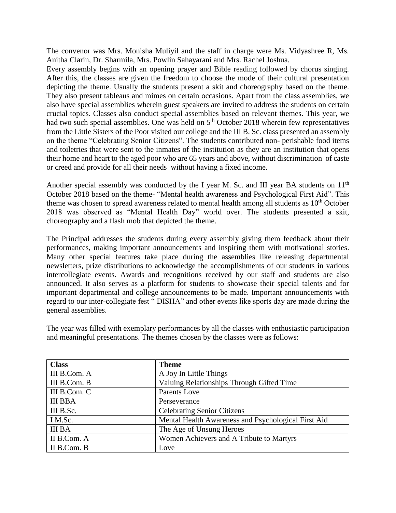The convenor was Mrs. Monisha Muliyil and the staff in charge were Ms. Vidyashree R, Ms. Anitha Clarin, Dr. Sharmila, Mrs. Powlin Sahayarani and Mrs. Rachel Joshua.

Every assembly begins with an opening prayer and Bible reading followed by chorus singing. After this, the classes are given the freedom to choose the mode of their cultural presentation depicting the theme. Usually the students present a skit and choreography based on the theme. They also present tableaus and mimes on certain occasions. Apart from the class assemblies, we also have special assemblies wherein guest speakers are invited to address the students on certain crucial topics. Classes also conduct special assemblies based on relevant themes. This year, we had two such special assemblies. One was held on  $5<sup>th</sup>$  October 2018 wherein few representatives from the Little Sisters of the Poor visited our college and the III B. Sc. class presented an assembly on the theme "Celebrating Senior Citizens". The students contributed non- perishable food items and toiletries that were sent to the inmates of the institution as they are an institution that opens their home and heart to the aged poor who are 65 years and above, without discrimination of caste or creed and provide for all their needs without having a fixed income.

Another special assembly was conducted by the I year M. Sc. and III year BA students on  $11<sup>th</sup>$ October 2018 based on the theme- "Mental health awareness and Psychological First Aid". This theme was chosen to spread awareness related to mental health among all students as  $10<sup>th</sup>$  October 2018 was observed as "Mental Health Day" world over. The students presented a skit, choreography and a flash mob that depicted the theme.

The Principal addresses the students during every assembly giving them feedback about their performances, making important announcements and inspiring them with motivational stories. Many other special features take place during the assemblies like releasing departmental newsletters, prize distributions to acknowledge the accomplishments of our students in various intercollegiate events. Awards and recognitions received by our staff and students are also announced. It also serves as a platform for students to showcase their special talents and for important departmental and college announcements to be made. Important announcements with regard to our inter-collegiate fest " DISHA" and other events like sports day are made during the general assemblies.

The year was filled with exemplary performances by all the classes with enthusiastic participation and meaningful presentations. The themes chosen by the classes were as follows:

| <b>Class</b>   | <b>Theme</b>                                        |  |
|----------------|-----------------------------------------------------|--|
| III B.Com. A   | A Joy In Little Things                              |  |
| III B.Com. B   | Valuing Relationships Through Gifted Time           |  |
| III B.Com. C   | Parents Love                                        |  |
| <b>III BBA</b> | Perseverance                                        |  |
| III B.Sc.      | <b>Celebrating Senior Citizens</b>                  |  |
| I M.Sc.        | Mental Health Awareness and Psychological First Aid |  |
| <b>III BA</b>  | The Age of Unsung Heroes                            |  |
| II B.Com. A    | Women Achievers and A Tribute to Martyrs            |  |
| II B.Com. B    | Love                                                |  |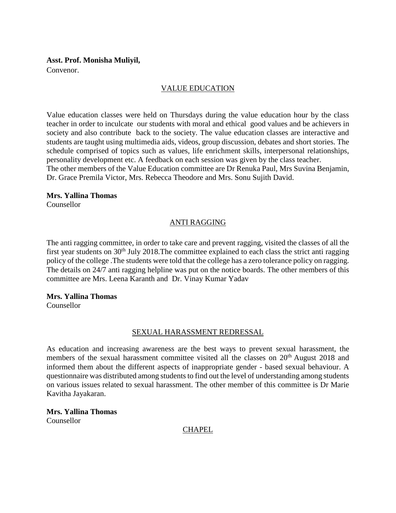#### **Asst. Prof. Monisha Muliyil,**

Convenor.

### VALUE EDUCATION

Value education classes were held on Thursdays during the value education hour by the class teacher in order to inculcate our students with moral and ethical good values and be achievers in society and also contribute back to the society. The value education classes are interactive and students are taught using multimedia aids, videos, group discussion, debates and short stories. The schedule comprised of topics such as values, life enrichment skills, interpersonal relationships, personality development etc. A feedback on each session was given by the class teacher. The other members of the Value Education committee are Dr Renuka Paul, Mrs Suvina Benjamin, Dr. Grace Premila Victor, Mrs. Rebecca Theodore and Mrs. Sonu Sujith David.

#### **Mrs. Yallina Thomas**

Counsellor

### ANTI RAGGING

The anti ragging committee, in order to take care and prevent ragging, visited the classes of all the first year students on  $30<sup>th</sup>$  July 2018. The committee explained to each class the strict anti ragging policy of the college .The students were told that the college has a zero tolerance policy on ragging. The details on 24/7 anti ragging helpline was put on the notice boards. The other members of this committee are Mrs. Leena Karanth and Dr. Vinay Kumar Yadav

#### **Mrs. Yallina Thomas**

Counsellor

#### SEXUAL HARASSMENT REDRESSAL

As education and increasing awareness are the best ways to prevent sexual harassment, the members of the sexual harassment committee visited all the classes on  $20<sup>th</sup>$  August 2018 and informed them about the different aspects of inappropriate gender - based sexual behaviour. A questionnaire was distributed among students to find out the level of understanding among students on various issues related to sexual harassment. The other member of this committee is Dr Marie Kavitha Jayakaran.

**Mrs. Yallina Thomas** Counsellor

### **CHAPEL**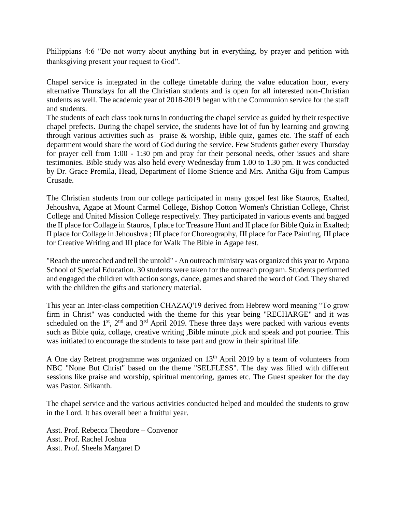Philippians 4:6 "Do not worry about anything but in everything, by prayer and petition with thanksgiving present your request to God".

Chapel service is integrated in the college timetable during the value education hour, every alternative Thursdays for all the Christian students and is open for all interested non-Christian students as well. The academic year of 2018-2019 began with the Communion service for the staff and students.

The students of each class took turns in conducting the chapel service as guided by their respective chapel prefects. During the chapel service, the students have lot of fun by learning and growing through various activities such as praise & worship, Bible quiz, games etc. The staff of each department would share the word of God during the service. Few Students gather every Thursday for prayer cell from 1:00 - 1:30 pm and pray for their personal needs, other issues and share testimonies. Bible study was also held every Wednesday from 1.00 to 1.30 pm. It was conducted by Dr. Grace Premila, Head, Department of Home Science and Mrs. Anitha Giju from Campus Crusade.

The Christian students from our college participated in many gospel fest like Stauros, Exalted, Jehoushva, Agape at Mount Carmel College, Bishop Cotton Women's Christian College, Christ College and United Mission College respectively. They participated in various events and bagged the II place for Collage in Stauros, I place for Treasure Hunt and II place for Bible Quiz in Exalted; II place for Collage in Jehoushva ; III place for Choreography, III place for Face Painting, III place for Creative Writing and III place for Walk The Bible in Agape fest.

"Reach the unreached and tell the untold" - An outreach ministry was organized this year to Arpana School of Special Education. 30 students were taken for the outreach program. Students performed and engaged the children with action songs, dance, games and shared the word of God. They shared with the children the gifts and stationery material.

This year an Inter-class competition CHAZAQ'19 derived from Hebrew word meaning "To grow firm in Christ" was conducted with the theme for this year being "RECHARGE" and it was scheduled on the  $1<sup>st</sup>$ ,  $2<sup>nd</sup>$  and  $3<sup>rd</sup>$  April 2019. These three days were packed with various events such as Bible quiz, collage, creative writing ,Bible minute ,pick and speak and pot pouriee. This was initiated to encourage the students to take part and grow in their spiritual life.

A One day Retreat programme was organized on  $13<sup>th</sup>$  April 2019 by a team of volunteers from NBC "None But Christ" based on the theme "SELFLESS". The day was filled with different sessions like praise and worship, spiritual mentoring, games etc. The Guest speaker for the day was Pastor. Srikanth.

The chapel service and the various activities conducted helped and moulded the students to grow in the Lord. It has overall been a fruitful year.

Asst. Prof. Rebecca Theodore – Convenor Asst. Prof. Rachel Joshua Asst. Prof. Sheela Margaret D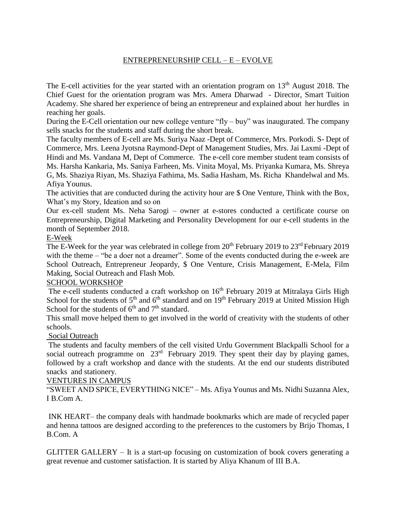### ENTREPRENEURSHIP CELL – E – EVOLVE

The E-cell activities for the year started with an orientation program on  $13<sup>th</sup>$  August 2018. The Chief Guest for the orientation program was Mrs. Amera Dharwad - Director, Smart Tuition Academy. She shared her experience of being an entrepreneur and explained about her hurdles in reaching her goals.

During the E-Cell orientation our new college venture "fly – buy" was inaugurated. The company sells snacks for the students and staff during the short break.

The faculty members of E-cell are Ms. Suriya Naaz -Dept of Commerce, Mrs. Porkodi. S- Dept of Commerce, Mrs. Leena Jyotsna Raymond-Dept of Management Studies, Mrs. Jai Laxmi -Dept of Hindi and Ms. Vandana M, Dept of Commerce. The e-cell core member student team consists of Ms. Harsha Kankaria, Ms. Saniya Farheen, Ms. Vinita Moyal, Ms. Priyanka Kumara, Ms. Shreya G, Ms. Shaziya Riyan, Ms. Shaziya Fathima, Ms. Sadia Hasham, Ms. Richa Khandelwal and Ms. Afiya Younus.

The activities that are conducted during the activity hour are \$ One Venture, Think with the Box, What's my Story, Ideation and so on

Our ex-cell student Ms. Neha Sarogi – owner at e-stores conducted a certificate course on Entrepreneurship, Digital Marketing and Personality Development for our e-cell students in the month of September 2018.

#### E-Week

The E-Week for the year was celebrated in college from 20<sup>th</sup> February 2019 to 23<sup>rd</sup> February 2019 with the theme – "be a doer not a dreamer". Some of the events conducted during the e-week are School Outreach, Entrepreneur Jeopardy, \$ One Venture, Crisis Management, E-Mela, Film Making, Social Outreach and Flash Mob.

#### SCHOOL WORKSHOP

The e-cell students conducted a craft workshop on 16<sup>th</sup> February 2019 at Mitralaya Girls High School for the students of  $5<sup>th</sup>$  and  $6<sup>th</sup>$  standard and on 19<sup>th</sup> February 2019 at United Mission High School for the students of  $6<sup>th</sup>$  and  $7<sup>th</sup>$  standard.

This small move helped them to get involved in the world of creativity with the students of other schools.

### Social Outreach

The students and faculty members of the cell visited Urdu Government Blackpalli School for a social outreach programme on  $23<sup>rd</sup>$  February 2019. They spent their day by playing games, followed by a craft workshop and dance with the students. At the end our students distributed snacks and stationery.

#### VENTURES IN CAMPUS

"SWEET AND SPICE, EVERYTHING NICE" – Ms. Afiya Younus and Ms. Nidhi Suzanna Alex, I B.Com A.

INK HEART– the company deals with handmade bookmarks which are made of recycled paper and henna tattoos are designed according to the preferences to the customers by Brijo Thomas, I B.Com. A

GLITTER GALLERY – It is a start-up focusing on customization of book covers generating a great revenue and customer satisfaction. It is started by Aliya Khanum of III B.A.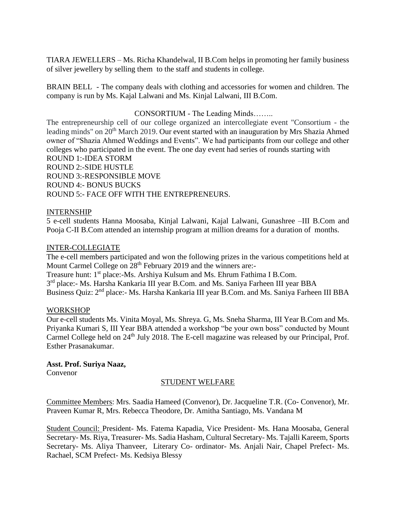TIARA JEWELLERS – Ms. Richa Khandelwal, II B.Com helps in promoting her family business of silver jewellery by selling them to the staff and students in college.

BRAIN BELL - The company deals with clothing and accessories for women and children. The company is run by Ms. Kajal Lalwani and Ms. Kinjal Lalwani, III B.Com.

### CONSORTIUM - The Leading Minds……..

The entrepreneurship cell of our college organized an intercollegiate event "Consortium - the leading minds" on 20<sup>th</sup> March 2019. Our event started with an inauguration by Mrs Shazia Ahmed owner of "Shazia Ahmed Weddings and Events". We had participants from our college and other colleges who participated in the event. The one day event had series of rounds starting with ROUND 1:-IDEA STORM ROUND 2:-SIDE HUSTLE ROUND 3:-RESPONSIBLE MOVE ROUND 4:- BONUS BUCKS ROUND 5:- FACE OFF WITH THE ENTREPRENEURS.

#### INTERNSHIP

5 e-cell students Hanna Moosaba, Kinjal Lalwani, Kajal Lalwani, Gunashree –III B.Com and Pooja C-II B.Com attended an internship program at million dreams for a duration of months.

#### INTER-COLLEGIATE

The e-cell members participated and won the following prizes in the various competitions held at Mount Carmel College on 28<sup>th</sup> February 2019 and the winners are:-Treasure hunt: 1<sup>st</sup> place:-Ms. Arshiya Kulsum and Ms. Ehrum Fathima I B.Com. 3<sup>rd</sup> place:- Ms. Harsha Kankaria III year B.Com. and Ms. Saniya Farheen III year BBA Business Quiz: 2<sup>nd</sup> place:- Ms. Harsha Kankaria III year B.Com. and Ms. Saniya Farheen III BBA

#### WORKSHOP

Our e-cell students Ms. Vinita Moyal, Ms. Shreya. G, Ms. Sneha Sharma, III Year B.Com and Ms. Priyanka Kumari S, III Year BBA attended a workshop "be your own boss" conducted by Mount Carmel College held on 24<sup>th</sup> July 2018. The E-cell magazine was released by our Principal, Prof. Esther Prasanakumar.

#### **Asst. Prof. Suriya Naaz,**

Convenor

#### STUDENT WELFARE

Committee Members: Mrs. Saadia Hameed (Convenor), Dr. Jacqueline T.R. (Co- Convenor), Mr. Praveen Kumar R, Mrs. Rebecca Theodore, Dr. Amitha Santiago, Ms. Vandana M

Student Council: President- Ms. Fatema Kapadia, Vice President- Ms. Hana Moosaba, General Secretary- Ms. Riya, Treasurer- Ms. Sadia Hasham, Cultural Secretary- Ms. Tajalli Kareem, Sports Secretary- Ms. Aliya Thanveer, Literary Co- ordinator- Ms. Anjali Nair, Chapel Prefect- Ms. Rachael, SCM Prefect- Ms. Kedsiya Blessy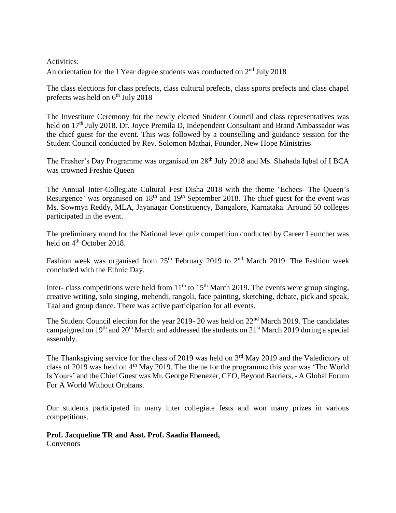### Activities:

An orientation for the I Year degree students was conducted on  $2<sup>nd</sup>$  July 2018

The class elections for class prefects, class cultural prefects, class sports prefects and class chapel prefects was held on  $6<sup>th</sup>$  July 2018

The Investiture Ceremony for the newly elected Student Council and class representatives was held on 17<sup>th</sup> July 2018. Dr. Joyce Premila D, Independent Consultant and Brand Ambassador was the chief guest for the event. This was followed by a counselling and guidance session for the Student Council conducted by Rev. Solomon Mathai, Founder, New Hope Ministries

The Fresher's Day Programme was organised on 28<sup>th</sup> July 2018 and Ms. Shahada Iqbal of I BCA was crowned Freshie Queen

The Annual Inter-Collegiate Cultural Fest Disha 2018 with the theme 'Echecs- The Queen's Resurgence' was organised on 18<sup>th</sup> and 19<sup>th</sup> September 2018. The chief guest for the event was Ms. Sowmya Reddy, MLA, Jayanagar Constituency, Bangalore, Karnataka. Around 50 colleges participated in the event.

The preliminary round for the National level quiz competition conducted by Career Launcher was held on 4<sup>th</sup> October 2018.

Fashion week was organised from 25<sup>th</sup> February 2019 to 2<sup>nd</sup> March 2019. The Fashion week concluded with the Ethnic Day.

Inter- class competitions were held from  $11<sup>th</sup>$  to  $15<sup>th</sup>$  March 2019. The events were group singing, creative writing, solo singing, mehendi, rangoli, face painting, sketching, debate, pick and speak, Taal and group dance. There was active participation for all events.

The Student Council election for the year 2019- 20 was held on 22<sup>nd</sup> March 2019. The candidates campaigned on 19<sup>th</sup> and 20<sup>th</sup> March and addressed the students on 21<sup>st</sup> March 2019 during a special assembly.

The Thanksgiving service for the class of 2019 was held on 3<sup>rd</sup> May 2019 and the Valedictory of class of 2019 was held on  $4<sup>th</sup>$  May 2019. The theme for the programme this year was 'The World' Is Yours' and the Chief Guest was Mr. George Ebenezer, CEO, Beyond Barriers, - A Global Forum For A World Without Orphans.

Our students participated in many inter collegiate fests and won many prizes in various competitions.

#### **Prof. Jacqueline TR and Asst. Prof. Saadia Hameed,**

Convenors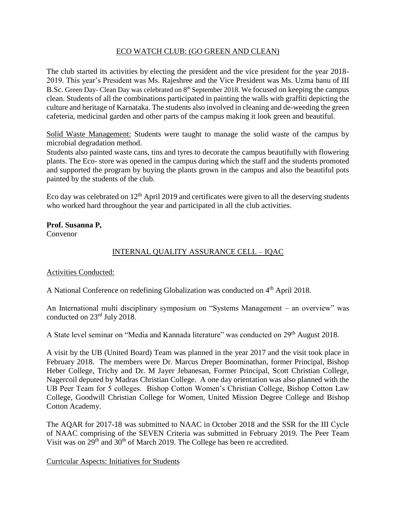### ECO WATCH CLUB: (GO GREEN AND CLEAN)

The club started its activities by electing the president and the vice president for the year 2018- 2019. This year's President was Ms. Rajeshree and the Vice President was Ms. Uzma banu of III B.Sc. Green Day- Clean Day was celebrated on 8<sup>th</sup> September 2018. We focused on keeping the campus clean. Students of all the combinations participated in painting the walls with graffiti depicting the culture and heritage of Karnataka. The students also involved in cleaning and de-weeding the green cafeteria, medicinal garden and other parts of the campus making it look green and beautiful.

Solid Waste Management: Students were taught to manage the solid waste of the campus by microbial degradation method.

Students also painted waste cans, tins and tyres to decorate the campus beautifully with flowering plants. The Eco- store was opened in the campus during which the staff and the students promoted and supported the program by buying the plants grown in the campus and also the beautiful pots painted by the students of the club.

Eco day was celebrated on  $12<sup>th</sup>$  April 2019 and certificates were given to all the deserving students who worked hard throughout the year and participated in all the club activities.

**Prof. Susanna P,** Convenor

### INTERNAL QUALITY ASSURANCE CELL – IQAC

### Activities Conducted:

A National Conference on redefining Globalization was conducted on 4<sup>th</sup> April 2018.

An International multi disciplinary symposium on "Systems Management – an overview" was conducted on 23rd July 2018.

A State level seminar on "Media and Kannada literature" was conducted on 29<sup>th</sup> August 2018.

A visit by the UB (United Board) Team was planned in the year 2017 and the visit took place in February 2018. The members were Dr. Marcus Dreper Boominathan, former Principal, Bishop Heber College, Trichy and Dr. M Jayer Jebanesan, Former Principal, Scott Christian College, Nagercoil deputed by Madras Christian College. A one day orientation was also planned with the UB Peer Team for 5 colleges. Bishop Cotton Women's Christian College, Bishop Cotton Law College, Goodwill Christian College for Women, United Mission Degree College and Bishop Cotton Academy.

The AQAR for 2017-18 was submitted to NAAC in October 2018 and the SSR for the III Cycle of NAAC comprising of the SEVEN Criteria was submitted in February 2019. The Peer Team Visit was on 29<sup>th</sup> and 30<sup>th</sup> of March 2019. The College has been re accredited.

Curricular Aspects: Initiatives for Students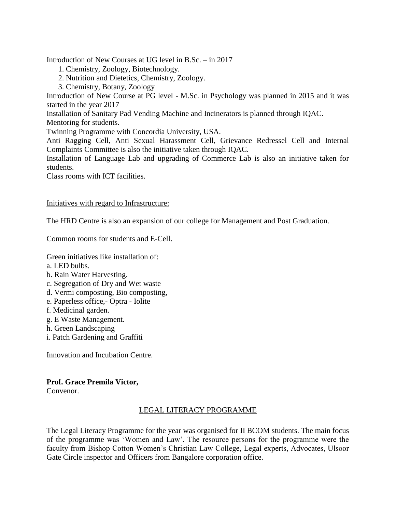Introduction of New Courses at UG level in B.Sc. – in 2017

- 1. Chemistry, Zoology, Biotechnology.
- 2. Nutrition and Dietetics, Chemistry, Zoology.
- 3. Chemistry, Botany, Zoology

Introduction of New Course at PG level - M.Sc. in Psychology was planned in 2015 and it was started in the year 2017

Installation of Sanitary Pad Vending Machine and Incinerators is planned through IQAC. Mentoring for students.

Twinning Programme with Concordia University, USA.

Anti Ragging Cell, Anti Sexual Harassment Cell, Grievance Redressel Cell and Internal Complaints Committee is also the initiative taken through IQAC.

Installation of Language Lab and upgrading of Commerce Lab is also an initiative taken for students.

Class rooms with ICT facilities.

#### Initiatives with regard to Infrastructure:

The HRD Centre is also an expansion of our college for Management and Post Graduation.

Common rooms for students and E-Cell.

Green initiatives like installation of:

- a. LED bulbs.
- b. Rain Water Harvesting.
- c. Segregation of Dry and Wet waste
- d. Vermi composting, Bio composting,
- e. Paperless office,- Optra Iolite
- f. Medicinal garden.
- g. E Waste Management.
- h. Green Landscaping
- i. Patch Gardening and Graffiti

Innovation and Incubation Centre.

#### **Prof. Grace Premila Victor,**

Convenor.

### LEGAL LITERACY PROGRAMME

The Legal Literacy Programme for the year was organised for II BCOM students. The main focus of the programme was 'Women and Law'. The resource persons for the programme were the faculty from Bishop Cotton Women's Christian Law College, Legal experts, Advocates, Ulsoor Gate Circle inspector and Officers from Bangalore corporation office.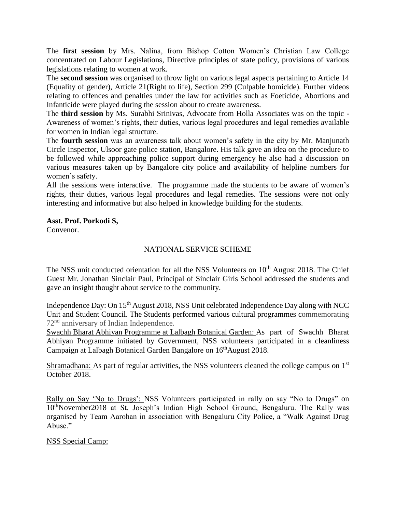The **first session** by Mrs. Nalina, from Bishop Cotton Women's Christian Law College concentrated on Labour Legislations, Directive principles of state policy, provisions of various legislations relating to women at work.

The **second session** was organised to throw light on various legal aspects pertaining to Article 14 (Equality of gender), Article 21(Right to life), Section 299 (Culpable homicide). Further videos relating to offences and penalties under the law for activities such as Foeticide, Abortions and Infanticide were played during the session about to create awareness.

The **third session** by Ms. Surabhi Srinivas, Advocate from Holla Associates was on the topic - Awareness of women's rights, their duties, various legal procedures and legal remedies available for women in Indian legal structure.

The **fourth session** was an awareness talk about women's safety in the city by Mr. Manjunath Circle Inspector, Ulsoor gate police station, Bangalore. His talk gave an idea on the procedure to be followed while approaching police support during emergency he also had a discussion on various measures taken up by Bangalore city police and availability of helpline numbers for women's safety.

All the sessions were interactive. The programme made the students to be aware of women's rights, their duties, various legal procedures and legal remedies. The sessions were not only interesting and informative but also helped in knowledge building for the students.

### **Asst. Prof. Porkodi S,**

Convenor.

### NATIONAL SERVICE SCHEME

The NSS unit conducted orientation for all the NSS Volunteers on 10<sup>th</sup> August 2018. The Chief Guest Mr. Jonathan Sinclair Paul, Principal of Sinclair Girls School addressed the students and gave an insight thought about service to the community.

Independence Day: On 15<sup>th</sup> August 2018, NSS Unit celebrated Independence Day along with NCC Unit and Student Council. The Students performed various cultural programmes commemorating 72nd anniversary of Indian Independence.

Swachh Bharat Abhiyan Programme at Lalbagh Botanical Garden: As part of Swachh Bharat Abhiyan Programme initiated by Government, NSS volunteers participated in a cleanliness Campaign at Lalbagh Botanical Garden Bangalore on 16<sup>th</sup>August 2018.

Shramadhana: As part of regular activities, the NSS volunteers cleaned the college campus on 1<sup>st</sup> October 2018.

Rally on Say 'No to Drugs': NSS Volunteers participated in rally on say "No to Drugs" on 10thNovember2018 at St. Joseph's Indian High School Ground, Bengaluru. The Rally was organised by Team Aarohan in association with Bengaluru City Police, a "Walk Against Drug Abuse."

### NSS Special Camp: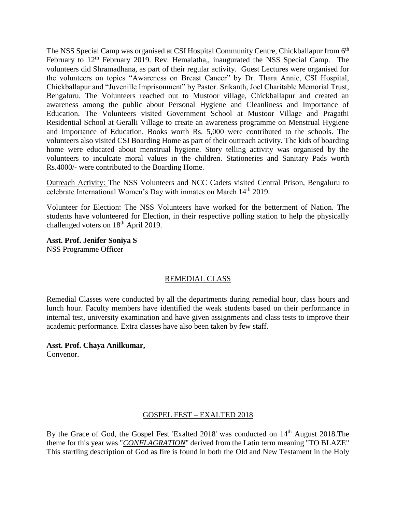The NSS Special Camp was organised at CSI Hospital Community Centre, Chickballapur from 6<sup>th</sup> February to  $12<sup>th</sup>$  February 2019. Rev. Hemalatha,, inaugurated the NSS Special Camp. The volunteers did Shramadhana, as part of their regular activity. Guest Lectures were organised for the volunteers on topics "Awareness on Breast Cancer" by Dr. Thara Annie, CSI Hospital, Chickballapur and "Juvenille Imprisonment" by Pastor. Srikanth, Joel Charitable Memorial Trust, Bengaluru. The Volunteers reached out to Mustoor village, Chickballapur and created an awareness among the public about Personal Hygiene and Cleanliness and Importance of Education. The Volunteers visited Government School at Mustoor Village and Pragathi Residential School at Geralli Village to create an awareness programme on Menstrual Hygiene and Importance of Education. Books worth Rs. 5,000 were contributed to the schools. The volunteers also visited CSI Boarding Home as part of their outreach activity. The kids of boarding home were educated about menstrual hygiene. Story telling activity was organised by the volunteers to inculcate moral values in the children. Stationeries and Sanitary Pads worth Rs.4000/- were contributed to the Boarding Home.

Outreach Activity: The NSS Volunteers and NCC Cadets visited Central Prison, Bengaluru to celebrate International Women's Day with inmates on March 14<sup>th</sup> 2019.

Volunteer for Election: The NSS Volunteers have worked for the betterment of Nation. The students have volunteered for Election, in their respective polling station to help the physically challenged voters on 18<sup>th</sup> April 2019.

**Asst. Prof. Jenifer Soniya S** NSS Programme Officer

### REMEDIAL CLASS

Remedial Classes were conducted by all the departments during remedial hour, class hours and lunch hour. Faculty members have identified the weak students based on their performance in internal test, university examination and have given assignments and class tests to improve their academic performance. Extra classes have also been taken by few staff.

#### **Asst. Prof. Chaya Anilkumar,**

Convenor.

#### GOSPEL FEST – EXALTED 2018

By the Grace of God, the Gospel Fest 'Exalted 2018' was conducted on 14<sup>th</sup> August 2018.The theme for this year was "*CONFLAGRATION*" derived from the Latin term meaning "TO BLAZE" This startling description of God as fire is found in both the Old and New Testament in the Holy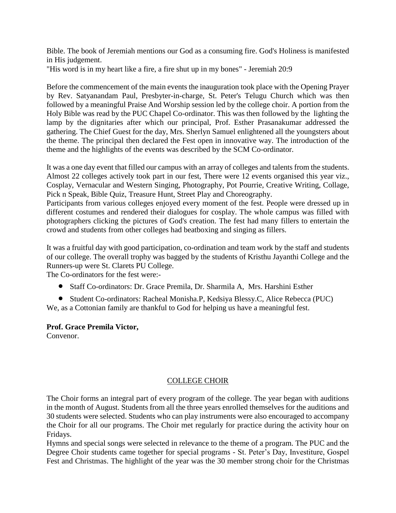Bible. The book of Jeremiah mentions our God as a consuming fire. God's Holiness is manifested in His judgement.

"His word is in my heart like a fire, a fire shut up in my bones" - Jeremiah 20:9

Before the commencement of the main events the inauguration took place with the Opening Prayer by Rev. Satyanandam Paul, Presbyter-in-charge, St. Peter's Telugu Church which was then followed by a meaningful Praise And Worship session led by the college choir. A portion from the Holy Bible was read by the PUC Chapel Co-ordinator. This was then followed by the lighting the lamp by the dignitaries after which our principal, Prof. Esther Prasanakumar addressed the gathering. The Chief Guest for the day, Mrs. Sherlyn Samuel enlightened all the youngsters about the theme. The principal then declared the Fest open in innovative way. The introduction of the theme and the highlights of the events was described by the SCM Co-ordinator.

It was a one day event that filled our campus with an array of colleges and talents from the students. Almost 22 colleges actively took part in our fest, There were 12 events organised this year viz., Cosplay, Vernacular and Western Singing, Photography, Pot Pourrie, Creative Writing, Collage, Pick n Speak, Bible Quiz, Treasure Hunt, Street Play and Choreography.

Participants from various colleges enjoyed every moment of the fest. People were dressed up in different costumes and rendered their dialogues for cosplay. The whole campus was filled with photographers clicking the pictures of God's creation. The fest had many fillers to entertain the crowd and students from other colleges had beatboxing and singing as fillers.

It was a fruitful day with good participation, co-ordination and team work by the staff and students of our college. The overall trophy was bagged by the students of Kristhu Jayanthi College and the Runners-up were St. Clarets PU College.

The Co-ordinators for the fest were:-

Staff Co-ordinators: Dr. Grace Premila, Dr. Sharmila A, Mrs. Harshini Esther

 Student Co-ordinators: Racheal Monisha.P, Kedsiya Blessy.C, Alice Rebecca (PUC) We, as a Cottonian family are thankful to God for helping us have a meaningful fest.

### **Prof. Grace Premila Victor,**

Convenor.

### COLLEGE CHOIR

The Choir forms an integral part of every program of the college. The year began with auditions in the month of August. Students from all the three years enrolled themselves for the auditions and 30 students were selected. Students who can play instruments were also encouraged to accompany the Choir for all our programs. The Choir met regularly for practice during the activity hour on Fridays.

Hymns and special songs were selected in relevance to the theme of a program. The PUC and the Degree Choir students came together for special programs - St. Peter's Day, Investiture, Gospel Fest and Christmas. The highlight of the year was the 30 member strong choir for the Christmas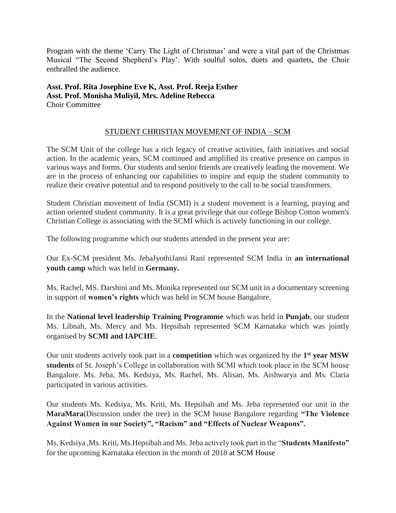Program with the theme 'Carry The Light of Christmas' and were a vital part of the Christmas Musical "The Second Shepherd's Play'. With soulful solos, duets and quartets, the Choir enthralled the audience.

### **Asst. Prof. Rita Josephine Eve K, Asst. Prof. Reeja Esther Asst. Prof. Monisha Muliyil, Mrs. Adeline Rebecca** Choir Committee

### STUDENT CHRISTIAN MOVEMENT OF INDIA – SCM

The SCM Unit of the college has a rich legacy of creative activities, faith initiatives and social action. In the academic years, SCM continued and amplified its creative presence on campus in various ways and forms. Our students and senior friends are creatively leading the movement. We are in the process of enhancing our capabilities to inspire and equip the student community to realize their creative potential and to respond positively to the call to be social transformers.

Student Christian movement of India (SCMI) is a student movement is a learning, praying and action oriented student community. It is a great privilege that our college Bishop Cotton women's Christian College is associating with the SCMI which is actively functioning in our college.

The following programme which our students attended in the present year are:

Our Ex-SCM president Ms. JebaJyothiJansi Rani represented SCM India in **an international youth camp** which was held in **Germany.**

Ms. Rachel, MS. Darshini and Ms. Monika represented our SCM unit in a documentary screening in support of **women's rights** which was held in SCM house Bangalore.

In the **National level leadership Training Programme** which was held in **Punjab**, our student Ms. Libnah, Ms. Mercy and Ms. Hepsibah represented SCM Karnataka which was jointly organised by **SCMI and IAPCHE**.

Our unit students actively took part in a **competition** which was organized by the **1 st year MSW students** of St. Joseph's College in collaboration with SCMI which took place in the SCM house Bangalore. Ms. Jeba, Ms. Kedsiya, Ms. Rachel, Ms. Alisan, Ms. Aishwarya and Ms. Claria participated in various activities.

Our students Ms. Kedsiya, Ms. Kriti, Ms. Hepsibah and Ms. Jeba represented our unit in the **MaraMara**(Discussion under the tree) in the SCM house Bangalore regarding **"The Violence Against Women in our Society", "Racism" and "Effects of Nuclear Weapons".**

Ms. Kedsiya ,Ms. Kriti, Ms.Hepsibah and Ms. Jeba actively took part in the "**Students Manifesto"** for the upcoming Karnataka election in the month of 2018 at SCM House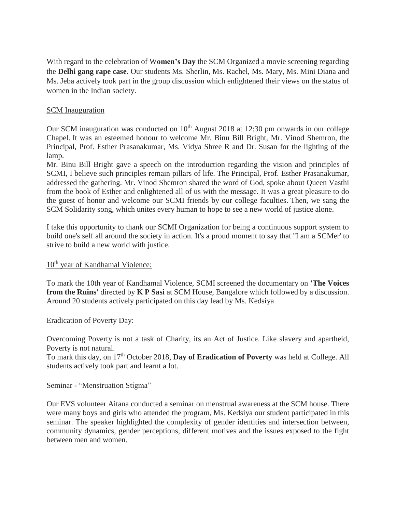With regard to the celebration of W**omen's Day** the SCM Organized a movie screening regarding the **Delhi gang rape case**. Our students Ms. Sherlin, Ms. Rachel, Ms. Mary, Ms. Mini Diana and Ms. Jeba actively took part in the group discussion which enlightened their views on the status of women in the Indian society.

### SCM Inauguration

Our SCM inauguration was conducted on  $10<sup>th</sup>$  August 2018 at 12:30 pm onwards in our college Chapel. It was an esteemed honour to welcome Mr. Binu Bill Bright, Mr. Vinod Shemron, the Principal, Prof. Esther Prasanakumar, Ms. Vidya Shree R and Dr. Susan for the lighting of the lamp.

Mr. Binu Bill Bright gave a speech on the introduction regarding the vision and principles of SCMI, I believe such principles remain pillars of life. The Principal, Prof. Esther Prasanakumar, addressed the gathering. Mr. Vinod Shemron shared the word of God, spoke about Queen Vasthi from the book of Esther and enlightened all of us with the message. It was a great pleasure to do the guest of honor and welcome our SCMI friends by our college faculties. Then, we sang the SCM Solidarity song, which unites every human to hope to see a new world of justice alone.

I take this opportunity to thank our SCMI Organization for being a continuous support system to build one's self all around the society in action. It's a proud moment to say that ''I am a SCMer' to strive to build a new world with justice.

### $10<sup>th</sup>$  year of Kandhamal Violence:

To mark the 10th year of Kandhamal Violence, SCMI screened the documentary on **'The Voices from the Ruins'** directed by **K P Sasi** at SCM House, Bangalore which followed by a discussion. Around 20 students actively participated on this day lead by Ms. Kedsiya

### Eradication of Poverty Day:

Overcoming Poverty is not a task of Charity, its an Act of Justice. Like slavery and apartheid, Poverty is not natural.

To mark this day, on 17th October 2018, **Day of Eradication of Poverty** was held at College. All students actively took part and learnt a lot.

#### Seminar - "Menstruation Stigma"

Our EVS volunteer Aitana conducted a seminar on menstrual awareness at the SCM house. There were many boys and girls who attended the program, Ms. Kedsiya our student participated in this seminar. The speaker highlighted the complexity of gender identities and intersection between, community dynamics, gender perceptions, different motives and the issues exposed to the fight between men and women.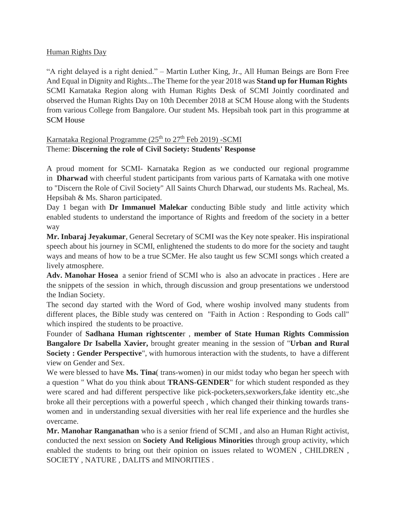### Human Rights Day

"A right delayed is a right denied." – Martin Luther King, Jr., All Human Beings are Born Free And Equal in Dignity and Rights...The Theme for the year 2018 was **Stand up for Human Rights** SCMI Karnataka Region along with Human Rights Desk of SCMI Jointly coordinated and observed the Human Rights Day on 10th December 2018 at SCM House along with the Students from various College from Bangalore. Our student Ms. Hepsibah took part in this programme at SCM House

### Karnataka Regional Programme  $(25<sup>th</sup>$  to  $27<sup>th</sup>$  Feb 2019) -SCMI Theme: **Discerning the role of Civil Society: Students' Response**

A proud moment for SCMI- Karnataka Region as we conducted our regional programme in **Dharwad** with cheerful student participants from various parts of Karnataka with one motive to "Discern the Role of Civil Society" All Saints Church Dharwad, our students Ms. Racheal, Ms. Hepsibah & Ms. Sharon participated.

Day 1 began with **Dr Immanuel Malekar** conducting Bible study and little activity which enabled students to understand the importance of Rights and freedom of the society in a better way

**Mr. Inbaraj Jeyakumar**, General Secretary of SCMI was the Key note speaker. His inspirational speech about his journey in SCMI, enlightened the students to do more for the society and taught ways and means of how to be a true SCMer. He also taught us few SCMI songs which created a lively atmosphere.

**Adv. Manohar Hosea** a senior friend of SCMI who is also an advocate in practices . Here are the snippets of the session in which, through discussion and group presentations we understood the Indian Society.

The second day started with the Word of God, where woship involved many students from different places, the Bible study was centered on "Faith in Action : Responding to Gods call" which inspired the students to be proactive.

Founder of **Sadhana Human rightscente**r , **member of State Human Rights Commission Bangalore Dr Isabella Xavier,** brought greater meaning in the session of "**Urban and Rural Society : Gender Perspective**", with humorous interaction with the students, to have a different view on Gender and Sex.

We were blessed to have **Ms. Tina**( trans-women) in our midst today who began her speech with a question " What do you think about **TRANS-GENDER**" for which student responded as they were scared and had different perspective like pick-pocketers,sexworkers,fake identity etc.,she broke all their perceptions with a powerful speech , which changed their thinking towards transwomen and in understanding sexual diversities with her real life experience and the hurdles she overcame.

**Mr. Manohar Ranganathan** who is a senior friend of SCMI , and also an Human Right activist, conducted the next session on **Society And Religious Minorities** through group activity, which enabled the students to bring out their opinion on issues related to WOMEN , CHILDREN , SOCIETY , NATURE , DALITS and MINORITIES .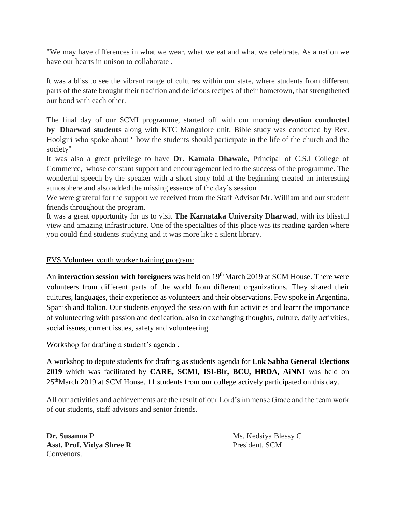"We may have differences in what we wear, what we eat and what we celebrate. As a nation we have our hearts in unison to collaborate .

It was a bliss to see the vibrant range of cultures within our state, where students from different parts of the state brought their tradition and delicious recipes of their hometown, that strengthened our bond with each other.

The final day of our SCMI programme, started off with our morning **devotion conducted by Dharwad students** along with KTC Mangalore unit, Bible study was conducted by Rev. Hoolgiri who spoke about " how the students should participate in the life of the church and the society"

It was also a great privilege to have **Dr. Kamala Dhawale**, Principal of C.S.I College of Commerce, whose constant support and encouragement led to the success of the programme. The wonderful speech by the speaker with a short story told at the beginning created an interesting atmosphere and also added the missing essence of the day's session .

We were grateful for the support we received from the Staff Advisor Mr. William and our student friends throughout the program.

It was a great opportunity for us to visit **The Karnataka University Dharwad**, with its blissful view and amazing infrastructure. One of the specialties of this place was its reading garden where you could find students studying and it was more like a silent library.

### EVS Volunteer youth worker training program:

An **interaction session with foreigners** was held on 19<sup>th</sup> March 2019 at SCM House. There were volunteers from different parts of the world from different organizations. They shared their cultures, languages, their experience as volunteers and their observations. Few spoke in Argentina, Spanish and Italian. Our students enjoyed the session with fun activities and learnt the importance of volunteering with passion and dedication, also in exchanging thoughts, culture, daily activities, social issues, current issues, safety and volunteering.

### Workshop for drafting a student's agenda .

A workshop to depute students for drafting as students agenda for **Lok Sabha General Elections 2019** which was facilitated by **CARE, SCMI, ISI-Blr, BCU, HRDA, AiNNI** was held on 25thMarch 2019 at SCM House. 11 students from our college actively participated on this day.

All our activities and achievements are the result of our Lord's immense Grace and the team work of our students, staff advisors and senior friends.

**Dr. Susanna P** Ms. Kedsiya Blessy C Asst. Prof. Vidya Shree R President, SCM Convenors.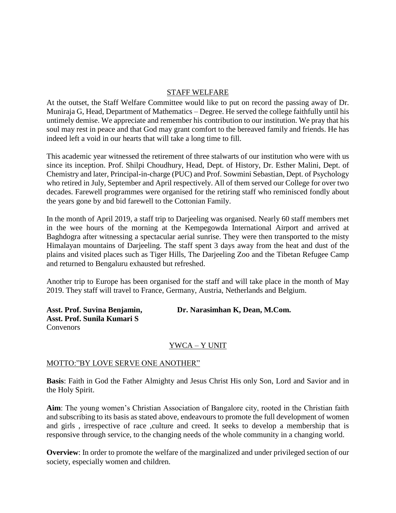### STAFF WELFARE

At the outset, the Staff Welfare Committee would like to put on record the passing away of Dr. Muniraja G, Head, Department of Mathematics – Degree. He served the college faithfully until his untimely demise. We appreciate and remember his contribution to our institution. We pray that his soul may rest in peace and that God may grant comfort to the bereaved family and friends. He has indeed left a void in our hearts that will take a long time to fill.

This academic year witnessed the retirement of three stalwarts of our institution who were with us since its inception. Prof. Shilpi Choudhury, Head, Dept. of History, Dr. Esther Malini, Dept. of Chemistry and later, Principal-in-charge (PUC) and Prof. Sowmini Sebastian, Dept. of Psychology who retired in July, September and April respectively. All of them served our College for over two decades. Farewell programmes were organised for the retiring staff who reminisced fondly about the years gone by and bid farewell to the Cottonian Family.

In the month of April 2019, a staff trip to Darjeeling was organised. Nearly 60 staff members met in the wee hours of the morning at the Kempegowda International Airport and arrived at Baghdogra after witnessing a spectacular aerial sunrise. They were then transported to the misty Himalayan mountains of Darjeeling. The staff spent 3 days away from the heat and dust of the plains and visited places such as Tiger Hills, The Darjeeling Zoo and the Tibetan Refugee Camp and returned to Bengaluru exhausted but refreshed.

Another trip to Europe has been organised for the staff and will take place in the month of May 2019. They staff will travel to France, Germany, Austria, Netherlands and Belgium.

**Asst. Prof. Sunila Kumari S** Convenors

Asst. Prof. Suvina Benjamin, Dr. Narasimhan K, Dean, M.Com.

### YWCA – Y UNIT

### MOTTO:"BY LOVE SERVE ONE ANOTHER"

**Basis**: Faith in God the Father Almighty and Jesus Christ His only Son, Lord and Savior and in the Holy Spirit.

**Aim**: The young women's Christian Association of Bangalore city, rooted in the Christian faith and subscribing to its basis as stated above, endeavours to promote the full development of women and girls , irrespective of race ,culture and creed. It seeks to develop a membership that is responsive through service, to the changing needs of the whole community in a changing world.

**Overview**: In order to promote the welfare of the marginalized and under privileged section of our society, especially women and children.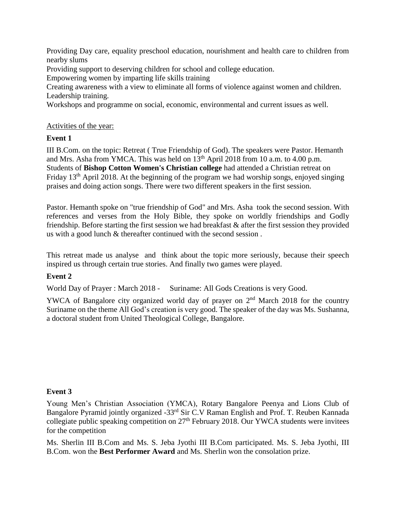Providing Day care, equality preschool education, nourishment and health care to children from nearby slums

Providing support to deserving children for school and college education.

Empowering women by imparting life skills training

Creating awareness with a view to eliminate all forms of violence against women and children. Leadership training.

Workshops and programme on social, economic, environmental and current issues as well.

### Activities of the year:

### **Event 1**

III B.Com. on the topic: Retreat ( True Friendship of God). The speakers were Pastor. Hemanth and Mrs. Asha from YMCA. This was held on  $13<sup>th</sup>$  April 2018 from 10 a.m. to 4.00 p.m. Students of **Bishop Cotton Women's Christian college** had attended a Christian retreat on Friday  $13<sup>th</sup>$  April 2018. At the beginning of the program we had worship songs, enjoyed singing praises and doing action songs. There were two different speakers in the first session.

Pastor. Hemanth spoke on "true friendship of God" and Mrs. Asha took the second session. With references and verses from the Holy Bible, they spoke on worldly friendships and Godly friendship. Before starting the first session we had breakfast & after the first session they provided us with a good lunch & thereafter continued with the second session .

This retreat made us analyse and think about the topic more seriously, because their speech inspired us through certain true stories. And finally two games were played.

### **Event 2**

World Day of Prayer : March 2018 - Suriname: All Gods Creations is very Good.

YWCA of Bangalore city organized world day of prayer on  $2<sup>nd</sup>$  March 2018 for the country Suriname on the theme All God's creation is very good. The speaker of the day was Ms. Sushanna, a doctoral student from United Theological College, Bangalore.

#### **Event 3**

Young Men's Christian Association (YMCA), Rotary Bangalore Peenya and Lions Club of Bangalore Pyramid jointly organized -33rd Sir C.V Raman English and Prof. T. Reuben Kannada collegiate public speaking competition on 27<sup>th</sup> February 2018. Our YWCA students were invitees for the competition

Ms. Sherlin III B.Com and Ms. S. Jeba Jyothi III B.Com participated. Ms. S. Jeba Jyothi, III B.Com. won the **Best Performer Award** and Ms. Sherlin won the consolation prize.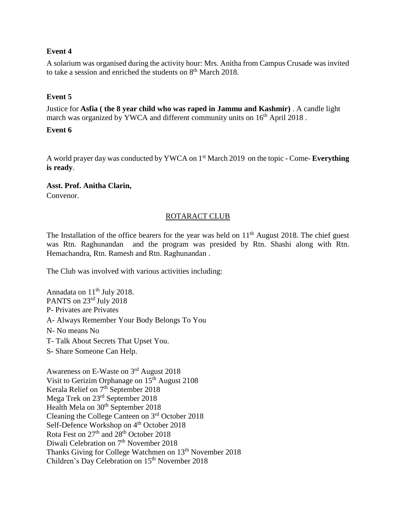### **Event 4**

A solarium was organised during the activity hour: Mrs. Anitha from Campus Crusade was invited to take a session and enriched the students on  $8<sup>th</sup>$  March 2018.

### **Event 5**

Justice for **Asfia ( the 8 year child who was raped in Jammu and Kashmir)** . A candle light march was organized by YWCA and different community units on  $16<sup>th</sup>$  April 2018.

### **Event 6**

A world prayer day was conducted by YWCA on 1st March 2019 on the topic - Come- **Everything is ready**.

**Asst. Prof. Anitha Clarin,** Convenor.

### ROTARACT CLUB

The Installation of the office bearers for the year was held on  $11<sup>th</sup>$  August 2018. The chief guest was Rtn. Raghunandan and the program was presided by Rtn. Shashi along with Rtn. Hemachandra, Rtn. Ramesh and Rtn. Raghunandan .

The Club was involved with various activities including:

Annadata on  $11<sup>th</sup>$  July 2018. PANTS on 23<sup>rd</sup> July 2018 P- Privates are Privates A- Always Remember Your Body Belongs To You N- No means No T- Talk About Secrets That Upset You. S- Share Someone Can Help. Awareness on E-Waste on 3<sup>rd</sup> August 2018 Visit to Gerizim Orphanage on  $15<sup>th</sup>$  August 2108 Kerala Relief on 7<sup>th</sup> September 2018 Mega Trek on 23rd September 2018 Health Mela on 30<sup>th</sup> September 2018 Cleaning the College Canteen on 3rd October 2018 Self-Defence Workshop on 4<sup>th</sup> October 2018

Rota Fest on 27<sup>th</sup> and 28<sup>th</sup> October 2018

Diwali Celebration on 7<sup>th</sup> November 2018

Thanks Giving for College Watchmen on 13<sup>th</sup> November 2018

Children's Day Celebration on 15<sup>th</sup> November 2018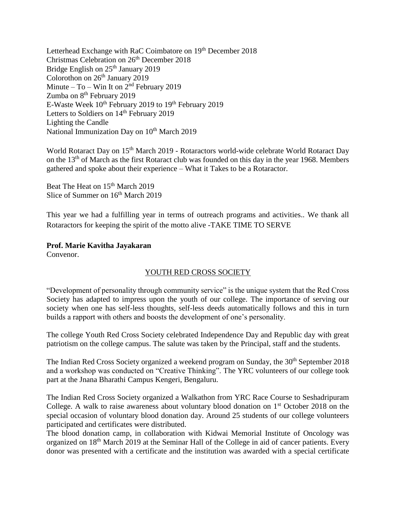Letterhead Exchange with RaC Coimbatore on 19<sup>th</sup> December 2018 Christmas Celebration on 26<sup>th</sup> December 2018 Bridge English on 25<sup>th</sup> January 2019 Colorothon on 26<sup>th</sup> January 2019 Minute – To – Win It on  $2<sup>nd</sup>$  February 2019 Zumba on 8<sup>th</sup> February 2019 E-Waste Week 10<sup>th</sup> February 2019 to 19<sup>th</sup> February 2019 Letters to Soldiers on 14<sup>th</sup> February 2019 Lighting the Candle National Immunization Day on 10<sup>th</sup> March 2019

World Rotaract Day on 15<sup>th</sup> March 2019 - Rotaractors world-wide celebrate World Rotaract Day on the 13<sup>th</sup> of March as the first Rotaract club was founded on this day in the year 1968. Members gathered and spoke about their experience – What it Takes to be a Rotaractor.

Beat The Heat on 15<sup>th</sup> March 2019 Slice of Summer on  $16<sup>th</sup>$  March 2019

This year we had a fulfilling year in terms of outreach programs and activities.. We thank all Rotaractors for keeping the spirit of the motto alive -TAKE TIME TO SERVE

### **Prof. Marie Kavitha Jayakaran**

Convenor.

### YOUTH RED CROSS SOCIETY

"Development of personality through community service" is the unique system that the Red Cross Society has adapted to impress upon the youth of our college. The importance of serving our society when one has self-less thoughts, self-less deeds automatically follows and this in turn builds a rapport with others and boosts the development of one's personality.

The college Youth Red Cross Society celebrated Independence Day and Republic day with great patriotism on the college campus. The salute was taken by the Principal, staff and the students.

The Indian Red Cross Society organized a weekend program on Sunday, the 30<sup>th</sup> September 2018 and a workshop was conducted on "Creative Thinking". The YRC volunteers of our college took part at the Jnana Bharathi Campus Kengeri, Bengaluru.

The Indian Red Cross Society organized a Walkathon from YRC Race Course to Seshadripuram College. A walk to raise awareness about voluntary blood donation on 1<sup>st</sup> October 2018 on the special occasion of voluntary blood donation day. Around 25 students of our college volunteers participated and certificates were distributed.

The blood donation camp, in collaboration with Kidwai Memorial Institute of Oncology was organized on 18th March 2019 at the Seminar Hall of the College in aid of cancer patients. Every donor was presented with a certificate and the institution was awarded with a special certificate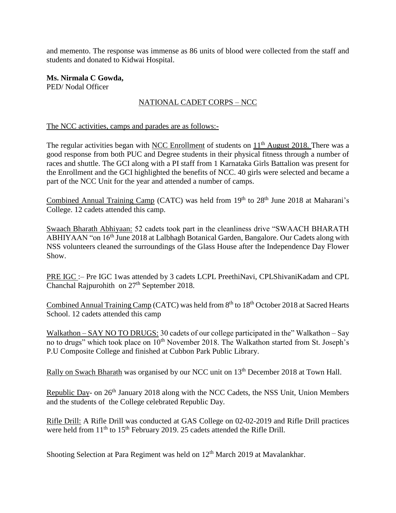and memento. The response was immense as 86 units of blood were collected from the staff and students and donated to Kidwai Hospital.

**Ms. Nirmala C Gowda,** PED/ Nodal Officer

### NATIONAL CADET CORPS – NCC

#### The NCC activities, camps and parades are as follows:-

The regular activities began with NCC Enrollment of students on  $11<sup>th</sup>$  August 2018. There was a good response from both PUC and Degree students in their physical fitness through a number of races and shuttle. The GCI along with a PI staff from 1 Karnataka Girls Battalion was present for the Enrollment and the GCI highlighted the benefits of NCC. 40 girls were selected and became a part of the NCC Unit for the year and attended a number of camps.

Combined Annual Training Camp (CATC) was held from  $19<sup>th</sup>$  to  $28<sup>th</sup>$  June 2018 at Maharani's College. 12 cadets attended this camp.

Swaach Bharath Abhiyaan: 52 cadets took part in the cleanliness drive "SWAACH BHARATH ABHIYAAN "on 16th June 2018 at Lalbhagh Botanical Garden, Bangalore. Our Cadets along with NSS volunteers cleaned the surroundings of the Glass House after the Independence Day Flower Show.

PRE IGC :- Pre IGC 1 was attended by 3 cadets LCPL PreethiNavi, CPLShivaniKadam and CPL Chanchal Rajpurohith on  $27<sup>th</sup>$  September 2018.

Combined Annual Training Camp (CATC) was held from 8<sup>th</sup> to 18<sup>th</sup> October 2018 at Sacred Hearts School. 12 cadets attended this camp

Walkathon – SAY NO TO DRUGS: 30 cadets of our college participated in the" Walkathon – Say no to drugs" which took place on 10<sup>th</sup> November 2018. The Walkathon started from St. Joseph's P.U Composite College and finished at Cubbon Park Public Library.

Rally on Swach Bharath was organised by our NCC unit on 13<sup>th</sup> December 2018 at Town Hall.

Republic Day- on 26<sup>th</sup> January 2018 along with the NCC Cadets, the NSS Unit, Union Members and the students of the College celebrated Republic Day.

Rifle Drill: A Rifle Drill was conducted at GAS College on 02-02-2019 and Rifle Drill practices were held from  $11<sup>th</sup>$  to  $15<sup>th</sup>$  February 2019. 25 cadets attended the Rifle Drill.

Shooting Selection at Para Regiment was held on 12<sup>th</sup> March 2019 at Mavalankhar.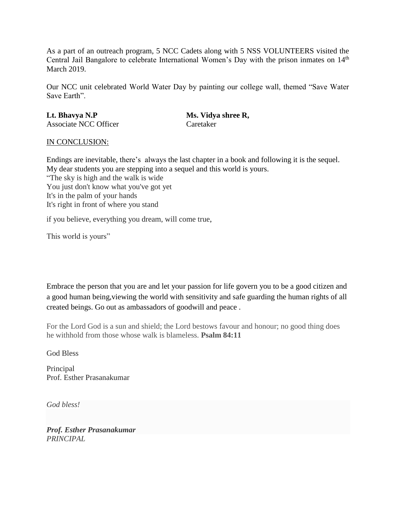As a part of an outreach program, 5 NCC Cadets along with 5 NSS VOLUNTEERS visited the Central Jail Bangalore to celebrate International Women's Day with the prison inmates on 14<sup>th</sup> March 2019.

Our NCC unit celebrated World Water Day by painting our college wall, themed "Save Water Save Earth".

**Lt. Bhavya N.P Ms. Vidya shree R,** Associate NCC Officer Caretaker

#### IN CONCLUSION:

Endings are inevitable, there's always the last chapter in a book and following it is the sequel. My dear students you are stepping into a sequel and this world is yours. "The sky is high and the walk is wide You just don't know what you've got yet It's in the palm of your hands It's right in front of where you stand

if you believe, everything you dream, will come true,

This world is yours"

Embrace the person that you are and let your passion for life govern you to be a good citizen and a good human being,viewing the world with sensitivity and safe guarding the human rights of all created beings. Go out as ambassadors of goodwill and peace .

For the Lord God is a sun and shield; the Lord bestows favour and honour; no good thing does he withhold from those whose walk is blameless. **Psalm 84:11**

God Bless

Principal Prof. Esther Prasanakumar

*God bless!*

*Prof. Esther Prasanakumar PRINCIPAL*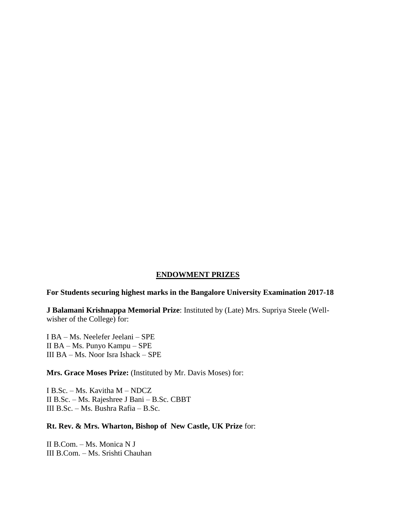### **ENDOWMENT PRIZES**

#### **For Students securing highest marks in the Bangalore University Examination 2017-18**

**J Balamani Krishnappa Memorial Prize**: Instituted by (Late) Mrs. Supriya Steele (Wellwisher of the College) for:

I BA – Ms. Neelefer Jeelani – SPE II BA – Ms. Punyo Kampu – SPE III BA – Ms. Noor Isra Ishack – SPE

**Mrs. Grace Moses Prize:** (Instituted by Mr. Davis Moses) for:

I B.Sc. – Ms. Kavitha M – NDCZ II B.Sc. – Ms. Rajeshree J Bani – B.Sc. CBBT III B.Sc. – Ms. Bushra Rafia – B.Sc.

### **Rt. Rev. & Mrs. Wharton, Bishop of New Castle, UK Prize** for:

II B.Com. – Ms. Monica N J III B.Com. – Ms. Srishti Chauhan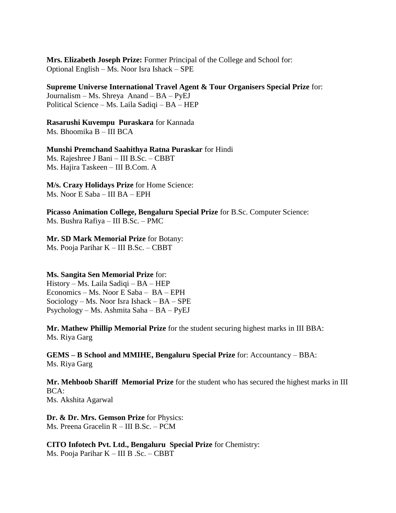**Mrs. Elizabeth Joseph Prize:** Former Principal of the College and School for: Optional English – Ms. Noor Isra Ishack – SPE

**Supreme Universe International Travel Agent & Tour Organisers Special Prize** for: Journalism – Ms. Shreya Anand – BA – PyEJ Political Science – Ms. Laila Sadiqi – BA – HEP

**Rasarushi Kuvempu Puraskara** for Kannada Ms. Bhoomika B – III BCA

**Munshi Premchand Saahithya Ratna Puraskar** for Hindi Ms. Rajeshree J Bani – III B.Sc. – CBBT Ms. Hajira Taskeen – III B.Com. A

**M/s. Crazy Holidays Prize** for Home Science: Ms. Noor E Saba – III BA – EPH

**Picasso Animation College, Bengaluru Special Prize** for B.Sc. Computer Science: Ms. Bushra Rafiya – III B.Sc. – PMC

#### **Mr. SD Mark Memorial Prize** for Botany: Ms. Pooja Parihar K – III B.Sc. – CBBT

**Ms. Sangita Sen Memorial Prize** for: History – Ms. Laila Sadiqi – BA – HEP Economics – Ms. Noor E Saba – BA – EPH

Sociology – Ms. Noor Isra Ishack – BA – SPE Psychology – Ms. Ashmita Saha – BA – PyEJ

**Mr. Mathew Phillip Memorial Prize** for the student securing highest marks in III BBA: Ms. Riya Garg

**GEMS – B School and MMIHE, Bengaluru Special Prize** for: Accountancy – BBA: Ms. Riya Garg

**Mr. Mehboob Shariff Memorial Prize** for the student who has secured the highest marks in III BCA: Ms. Akshita Agarwal

**Dr. & Dr. Mrs. Gemson Prize** for Physics: Ms. Preena Gracelin R – III B.Sc. – PCM

**CITO Infotech Pvt. Ltd., Bengaluru Special Prize** for Chemistry: Ms. Pooja Parihar K – III B .Sc. – CBBT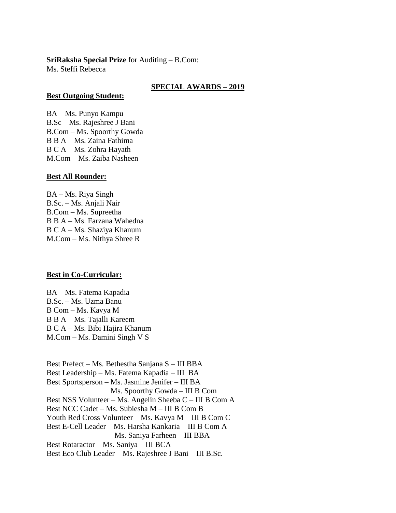## **SriRaksha Special Prize** for Auditing – B.Com:

Ms. Steffi Rebecca

### **SPECIAL AWARDS – 2019**

#### **Best Outgoing Student:**

BA – Ms. Punyo Kampu B.Sc – Ms. Rajeshree J Bani B.Com – Ms. Spoorthy Gowda B B A – Ms. Zaina Fathima B C A – Ms. Zohra Hayath M.Com – Ms. Zaiba Nasheen

### **Best All Rounder:**

BA – Ms. Riya Singh B.Sc. – Ms. Anjali Nair B.Com – Ms. Supreetha B B A – Ms. Farzana Wahedna B C A – Ms. Shaziya Khanum M.Com – Ms. Nithya Shree R

### **Best in Co-Curricular:**

BA – Ms. Fatema Kapadia B.Sc. – Ms. Uzma Banu B Com – Ms. Kavya M B B A – Ms. Tajalli Kareem B C A – Ms. Bibi Hajira Khanum M.Com – Ms. Damini Singh V S

Best Prefect – Ms. Bethestha Sanjana S – III BBA Best Leadership – Ms. Fatema Kapadia – III BA Best Sportsperson – Ms. Jasmine Jenifer – III BA Ms. Spoorthy Gowda – III B Com Best NSS Volunteer – Ms. Angelin Sheeba C – III B Com A Best NCC Cadet – Ms. Subiesha M – III B Com B Youth Red Cross Volunteer – Ms. Kavya M – III B Com C Best E-Cell Leader – Ms. Harsha Kankaria – III B Com A Ms. Saniya Farheen – III BBA Best Rotaractor – Ms. Saniya – III BCA Best Eco Club Leader – Ms. Rajeshree J Bani – III B.Sc.